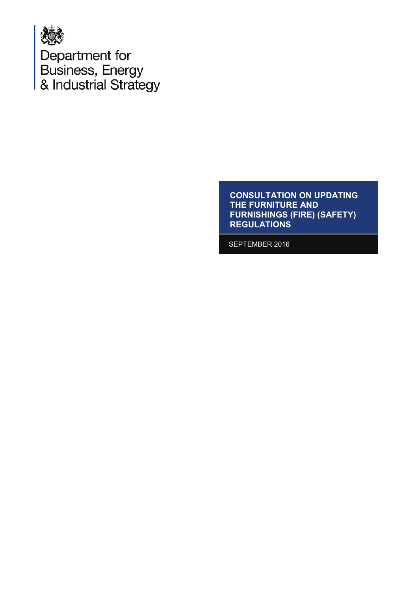

Department for<br>Business, Energy<br>& Industrial Strategy

**CONSULTATION ON UPDATING THE FURNITURE AND FURNISHINGS (FIRE) (SAFETY)** REGULATIONS

SEPTEMBER 2016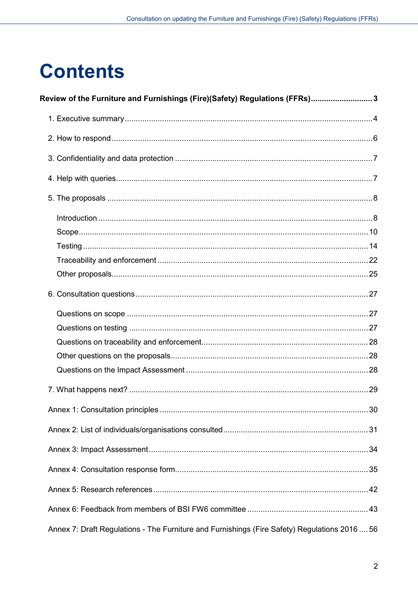# **Contents**

| Review of the Furniture and Furnishings (Fire)(Safety) Regulations (FFRs) 3                   |  |
|-----------------------------------------------------------------------------------------------|--|
|                                                                                               |  |
|                                                                                               |  |
|                                                                                               |  |
|                                                                                               |  |
|                                                                                               |  |
|                                                                                               |  |
|                                                                                               |  |
|                                                                                               |  |
|                                                                                               |  |
|                                                                                               |  |
|                                                                                               |  |
|                                                                                               |  |
|                                                                                               |  |
|                                                                                               |  |
|                                                                                               |  |
|                                                                                               |  |
|                                                                                               |  |
|                                                                                               |  |
|                                                                                               |  |
|                                                                                               |  |
|                                                                                               |  |
|                                                                                               |  |
|                                                                                               |  |
|                                                                                               |  |
| Annex 7: Draft Regulations - The Furniture and Furnishings (Fire Safety) Regulations 2016  56 |  |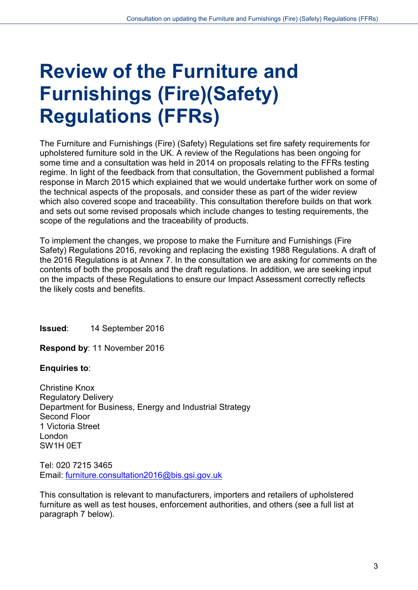# <span id="page-2-0"></span>**Review of the Furniture and Furnishings (Fire)(Safety) Regulations (FFRs)**

The Furniture and Furnishings (Fire) (Safety) Regulations set fire safety requirements for upholstered furniture sold in the UK. A review of the Regulations has been ongoing for some time and a consultation was held in 2014 on proposals relating to the FFRs testing regime. In light of the feedback from that consultation, the Government published a formal response in March 2015 which explained that we would undertake further work on some of the technical aspects of the proposals, and consider these as part of the wider review which also covered scope and traceability. This consultation therefore builds on that work and sets out some revised proposals which include changes to testing requirements, the scope of the regulations and the traceability of products.

To implement the changes, we propose to make the Furniture and Furnishings (Fire Safety) Regulations 2016, revoking and replacing the existing 1988 Regulations. A draft of the 2016 Regulations is at Annex 7. In the consultation we are asking for comments on the contents of both the proposals and the draft regulations. In addition, we are seeking input on the impacts of these Regulations to ensure our Impact Assessment correctly reflects the likely costs and benefits.

**Issued**: 14 September 2016

**Respond by**: 11 November 2016

**Enquiries to**:

Christine Knox Regulatory Delivery Department for Business, Energy and Industrial Strategy Second Floor 1 Victoria Street London SW1H 0ET

Tel: 020 7215 3465 Email: [furniture.consultation2016@bis.gsi.gov.uk](mailto:furniture.consultation2016@bis.gsi.gov.uk) 

This consultation is relevant to manufacturers, importers and retailers of upholstered furniture as well as test houses, enforcement authorities, and others (see a full list at paragraph 7 below).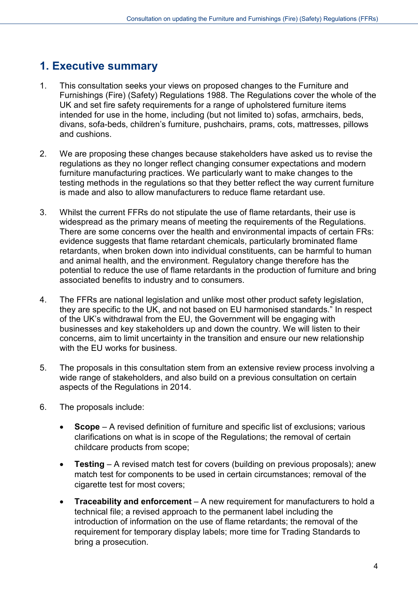# <span id="page-3-0"></span>**1. Executive summary**

- 1. This consultation seeks your views on proposed changes to the Furniture and Furnishings (Fire) (Safety) Regulations 1988. The Regulations cover the whole of the UK and set fire safety requirements for a range of upholstered furniture items intended for use in the home, including (but not limited to) sofas, armchairs, beds, divans, sofa-beds, children's furniture, pushchairs, prams, cots, mattresses, pillows and cushions.
- 2. We are proposing these changes because stakeholders have asked us to revise the regulations as they no longer reflect changing consumer expectations and modern furniture manufacturing practices. We particularly want to make changes to the testing methods in the regulations so that they better reflect the way current furniture is made and also to allow manufacturers to reduce flame retardant use.
- 3. Whilst the current FFRs do not stipulate the use of flame retardants, their use is widespread as the primary means of meeting the requirements of the Regulations. There are some concerns over the health and environmental impacts of certain FRs: evidence suggests that flame retardant chemicals, particularly brominated flame retardants, when broken down into individual constituents, can be harmful to human and animal health, and the environment. Regulatory change therefore has the potential to reduce the use of flame retardants in the production of furniture and bring associated benefits to industry and to consumers.
- 4. The FFRs are national legislation and unlike most other product safety legislation, they are specific to the UK, and not based on EU harmonised standards." In respect of the UK's withdrawal from the EU, the Government will be engaging with businesses and key stakeholders up and down the country. We will listen to their concerns, aim to limit uncertainty in the transition and ensure our new relationship with the EU works for business.
- 5. The proposals in this consultation stem from an extensive review process involving a wide range of stakeholders, and also build on a previous consultation on certain aspects of the Regulations in 2014.
- 6. The proposals include:
	- **Scope** A revised definition of furniture and specific list of exclusions; various clarifications on what is in scope of the Regulations; the removal of certain childcare products from scope;
	- **Testing** A revised match test for covers (building on previous proposals); anew match test for components to be used in certain circumstances; removal of the cigarette test for most covers;
	- **Traceability and enforcement** A new requirement for manufacturers to hold a technical file; a revised approach to the permanent label including the introduction of information on the use of flame retardants; the removal of the requirement for temporary display labels; more time for Trading Standards to bring a prosecution.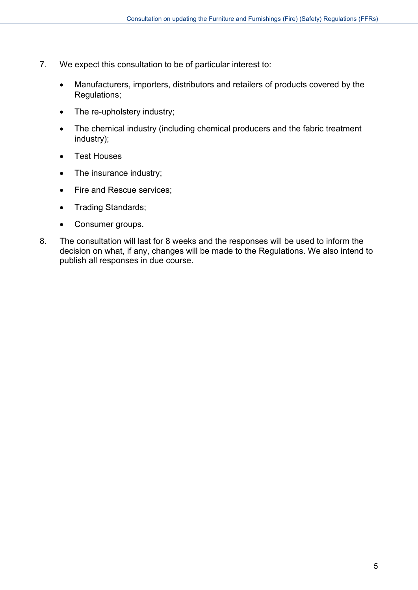- 7. We expect this consultation to be of particular interest to:
	- Manufacturers, importers, distributors and retailers of products covered by the Regulations;
	- The re-upholstery industry;
	- The chemical industry (including chemical producers and the fabric treatment industry);
	- Test Houses
	- The insurance industry;
	- Fire and Rescue services;
	- Trading Standards;
	- Consumer groups.
- 8. The consultation will last for 8 weeks and the responses will be used to inform the decision on what, if any, changes will be made to the Regulations. We also intend to publish all responses in due course.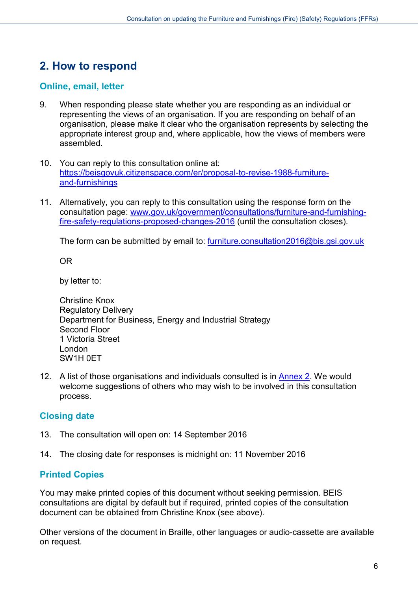# <span id="page-5-0"></span>**2. How to respond**

# **Online, email, letter**

- 9. When responding please state whether you are responding as an individual or representing the views of an organisation. If you are responding on behalf of an organisation, please make it clear who the organisation represents by selecting the appropriate interest group and, where applicable, how the views of members were assembled.
- 10. You can reply to this consultation online at: [https://beisgovuk.citizenspace.com/er/proposal-to-revise-1988-furniture](https://beisgovuk.citizenspace.com/er/proposal-to-revise-1988-furniture-and-furnishings)[and-furnishings](https://beisgovuk.citizenspace.com/er/proposal-to-revise-1988-furniture-and-furnishings)
- 11. Alternatively, you can reply to this consultation using the response form on the consultation page: [www.gov.uk/government/consultations/furniture-and-furnishing](https://www.gov.uk/government/consultations/furniture-and-furnishing-fire-safety-regulations-proposed-changes-2016)[fire-safety-regulations-proposed-changes-2016](https://www.gov.uk/government/consultations/furniture-and-furnishing-fire-safety-regulations-proposed-changes-2016) (until the consultation closes).

The form can be submitted by email to: [furniture.consultation2016@bis.gsi.gov.uk](mailto:furniture.consultation2016@bis.gsi.gov.uk)

OR

by letter to:

Christine Knox Regulatory Delivery Department for Business, Energy and Industrial Strategy Second Floor 1 Victoria Street London SW1H 0ET

12. A list of those organisations and individuals consulted is in [Annex 2.](#page-30-0) We would welcome suggestions of others who may wish to be involved in this consultation process.

# **Closing date**

- 13. The consultation will open on: 14 September 2016
- 14. The closing date for responses is midnight on: 11 November 2016

# **Printed Copies**

You may make printed copies of this document without seeking permission. BEIS consultations are digital by default but if required, printed copies of the consultation document can be obtained from Christine Knox (see above).

Other versions of the document in Braille, other languages or audio-cassette are available on request.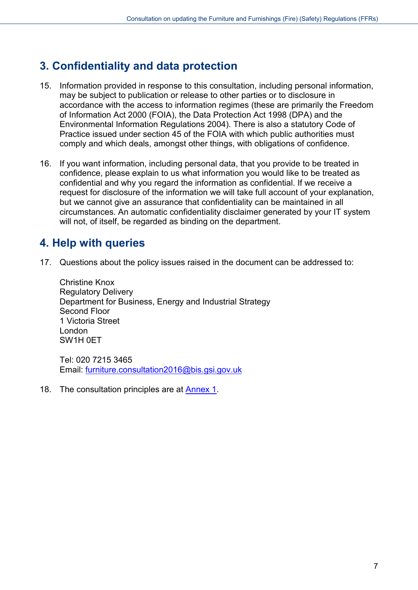# <span id="page-6-0"></span>**3. Confidentiality and data protection**

- 15. Information provided in response to this consultation, including personal information, may be subject to publication or release to other parties or to disclosure in accordance with the access to information regimes (these are primarily the Freedom of Information Act 2000 (FOIA), the Data Protection Act 1998 (DPA) and the Environmental Information Regulations 2004). There is also a statutory Code of Practice issued under section 45 of the FOIA with which public authorities must comply and which deals, amongst other things, with obligations of confidence.
- 16. If you want information, including personal data, that you provide to be treated in confidence, please explain to us what information you would like to be treated as confidential and why you regard the information as confidential. If we receive a request for disclosure of the information we will take full account of your explanation, but we cannot give an assurance that confidentiality can be maintained in all circumstances. An automatic confidentiality disclaimer generated by your IT system will not, of itself, be regarded as binding on the department.

# <span id="page-6-1"></span>**4. Help with queries**

17. Questions about the policy issues raised in the document can be addressed to:

Christine Knox Regulatory Delivery Department for Business, Energy and Industrial Strategy Second Floor 1 Victoria Street London SW1H 0ET

Tel: 020 7215 3465 Email: [furniture.consultation2016@bis.gsi.gov.uk](mailto:furniture.consultation2016@bis.gsi.gov.uk) 

18. The consultation principles are at [Annex 1.](#page-29-0)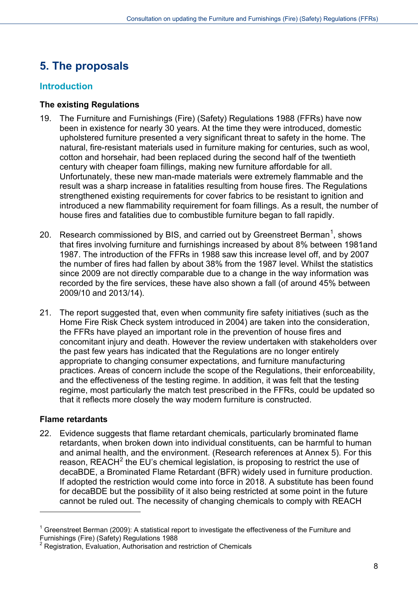# <span id="page-7-0"></span>**5. The proposals**

# <span id="page-7-1"></span>**Introduction**

# **The existing Regulations**

- 19. The Furniture and Furnishings (Fire) (Safety) Regulations 1988 (FFRs) have now been in existence for nearly 30 years. At the time they were introduced, domestic upholstered furniture presented a very significant threat to safety in the home. The natural, fire-resistant materials used in furniture making for centuries, such as wool, cotton and horsehair, had been replaced during the second half of the twentieth century with cheaper foam fillings, making new furniture affordable for all. Unfortunately, these new man-made materials were extremely flammable and the result was a sharp increase in fatalities resulting from house fires. The Regulations strengthened existing requirements for cover fabrics to be resistant to ignition and introduced a new flammability requirement for foam fillings. As a result, the number of house fires and fatalities due to combustible furniture began to fall rapidly.
- 20. Research commissioned by BIS, and carried out by Greenstreet Berman<sup>[1](#page-7-2)</sup>, shows that fires involving furniture and furnishings increased by about 8% between 1981and 1987. The introduction of the FFRs in 1988 saw this increase level off, and by 2007 the number of fires had fallen by about 38% from the 1987 level. Whilst the statistics since 2009 are not directly comparable due to a change in the way information was recorded by the fire services, these have also shown a fall (of around 45% between 2009/10 and 2013/14).
- 21. The report suggested that, even when community fire safety initiatives (such as the Home Fire Risk Check system introduced in 2004) are taken into the consideration, the FFRs have played an important role in the prevention of house fires and concomitant injury and death. However the review undertaken with stakeholders over the past few years has indicated that the Regulations are no longer entirely appropriate to changing consumer expectations, and furniture manufacturing practices. Areas of concern include the scope of the Regulations, their enforceability, and the effectiveness of the testing regime. In addition, it was felt that the testing regime, most particularly the match test prescribed in the FFRs, could be updated so that it reflects more closely the way modern furniture is constructed.

# **Flame retardants**

-

22. Evidence suggests that flame retardant chemicals, particularly brominated flame retardants, when broken down into individual constituents, can be harmful to human and animal health, and the environment. (Research references at Annex 5). For this reason, REACH $2$  the EU's chemical legislation, is proposing to restrict the use of decaBDE, a Brominated Flame Retardant (BFR) widely used in furniture production. If adopted the restriction would come into force in 2018. A substitute has been found for decaBDE but the possibility of it also being restricted at some point in the future cannot be ruled out. The necessity of changing chemicals to comply with REACH

<span id="page-7-2"></span> $1$  Greenstreet Berman (2009): A statistical report to investigate the effectiveness of the Furniture and Furnishings (Fire) (Safety) Regulations 1988

<span id="page-7-3"></span><sup>&</sup>lt;sup>2</sup> Registration, Evaluation, Authorisation and restriction of Chemicals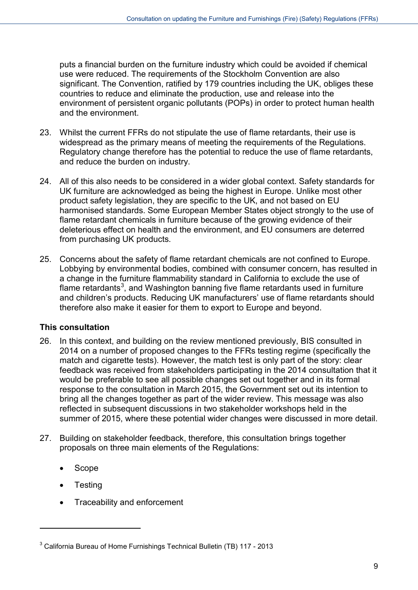puts a financial burden on the furniture industry which could be avoided if chemical use were reduced. The requirements of the Stockholm Convention are also significant. The Convention, ratified by 179 countries including the UK, obliges these countries to reduce and eliminate the production, use and release into the environment of persistent organic pollutants (POPs) in order to protect human health and the environment.

- 23. Whilst the current FFRs do not stipulate the use of flame retardants, their use is widespread as the primary means of meeting the requirements of the Regulations. Regulatory change therefore has the potential to reduce the use of flame retardants, and reduce the burden on industry.
- 24. All of this also needs to be considered in a wider global context. Safety standards for UK furniture are acknowledged as being the highest in Europe. Unlike most other product safety legislation, they are specific to the UK, and not based on EU harmonised standards. Some European Member States object strongly to the use of flame retardant chemicals in furniture because of the growing evidence of their deleterious effect on health and the environment, and EU consumers are deterred from purchasing UK products.
- 25. Concerns about the safety of flame retardant chemicals are not confined to Europe. Lobbying by environmental bodies, combined with consumer concern, has resulted in a change in the furniture flammability standard in California to exclude the use of flame retardants<sup>[3](#page-8-0)</sup>, and Washington banning five flame retardants used in furniture and children's products. Reducing UK manufacturers' use of flame retardants should therefore also make it easier for them to export to Europe and beyond.

# **This consultation**

- 26. In this context, and building on the review mentioned previously, BIS consulted in 2014 on a number of proposed changes to the FFRs testing regime (specifically the match and cigarette tests). However, the match test is only part of the story: clear feedback was received from stakeholders participating in the 2014 consultation that it would be preferable to see all possible changes set out together and in its formal response to the consultation in March 2015, the Government set out its intention to bring all the changes together as part of the wider review. This message was also reflected in subsequent discussions in two stakeholder workshops held in the summer of 2015, where these potential wider changes were discussed in more detail.
- 27. Building on stakeholder feedback, therefore, this consultation brings together proposals on three main elements of the Regulations:
	- Scope
	- **Testing**

-

• Traceability and enforcement

<span id="page-8-0"></span> $3$  California Bureau of Home Furnishings Technical Bulletin (TB) 117 - 2013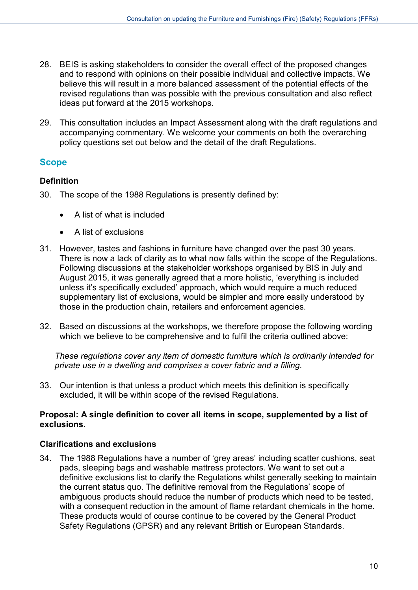- 28. BEIS is asking stakeholders to consider the overall effect of the proposed changes and to respond with opinions on their possible individual and collective impacts. We believe this will result in a more balanced assessment of the potential effects of the revised regulations than was possible with the previous consultation and also reflect ideas put forward at the 2015 workshops.
- 29. This consultation includes an Impact Assessment along with the draft regulations and accompanying commentary. We welcome your comments on both the overarching policy questions set out below and the detail of the draft Regulations.

# <span id="page-9-0"></span>**Scope**

## **Definition**

- 30. The scope of the 1988 Regulations is presently defined by:
	- A list of what is included
	- A list of exclusions
- 31. However, tastes and fashions in furniture have changed over the past 30 years. There is now a lack of clarity as to what now falls within the scope of the Regulations. Following discussions at the stakeholder workshops organised by BIS in July and August 2015, it was generally agreed that a more holistic, 'everything is included unless it's specifically excluded' approach, which would require a much reduced supplementary list of exclusions, would be simpler and more easily understood by those in the production chain, retailers and enforcement agencies.
- 32. Based on discussions at the workshops, we therefore propose the following wording which we believe to be comprehensive and to fulfil the criteria outlined above:

*These regulations cover any item of domestic furniture which is ordinarily intended for private use in a dwelling and comprises a cover fabric and a filling.*

33. Our intention is that unless a product which meets this definition is specifically excluded, it will be within scope of the revised Regulations.

#### **Proposal: A single definition to cover all items in scope, supplemented by a list of exclusions.**

#### **Clarifications and exclusions**

34. The 1988 Regulations have a number of 'grey areas' including scatter cushions, seat pads, sleeping bags and washable mattress protectors. We want to set out a definitive exclusions list to clarify the Regulations whilst generally seeking to maintain the current status quo. The definitive removal from the Regulations' scope of ambiguous products should reduce the number of products which need to be tested, with a consequent reduction in the amount of flame retardant chemicals in the home. These products would of course continue to be covered by the General Product Safety Regulations (GPSR) and any relevant British or European Standards.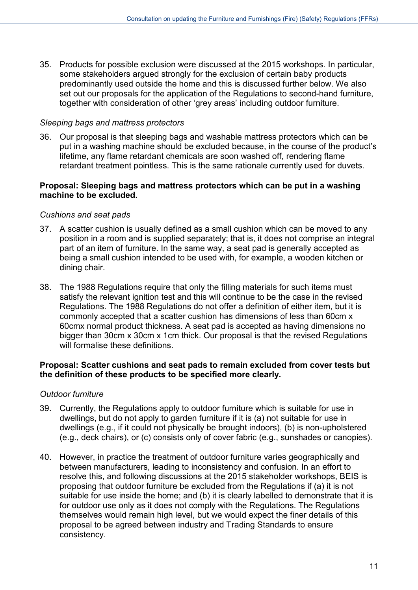35. Products for possible exclusion were discussed at the 2015 workshops. In particular, some stakeholders argued strongly for the exclusion of certain baby products predominantly used outside the home and this is discussed further below. We also set out our proposals for the application of the Regulations to second-hand furniture, together with consideration of other 'grey areas' including outdoor furniture.

#### *Sleeping bags and mattress protectors*

36. Our proposal is that sleeping bags and washable mattress protectors which can be put in a washing machine should be excluded because, in the course of the product's lifetime, any flame retardant chemicals are soon washed off, rendering flame retardant treatment pointless. This is the same rationale currently used for duvets.

#### **Proposal: Sleeping bags and mattress protectors which can be put in a washing machine to be excluded.**

#### *Cushions and seat pads*

- 37. A scatter cushion is usually defined as a small cushion which can be moved to any position in a room and is supplied separately; that is, it does not comprise an integral part of an item of furniture. In the same way, a seat pad is generally accepted as being a small cushion intended to be used with, for example, a wooden kitchen or dining chair.
- 38. The 1988 Regulations require that only the filling materials for such items must satisfy the relevant ignition test and this will continue to be the case in the revised Regulations. The 1988 Regulations do not offer a definition of either item, but it is commonly accepted that a scatter cushion has dimensions of less than 60cm x 60cmx normal product thickness. A seat pad is accepted as having dimensions no bigger than 30cm x 30cm x 1cm thick. Our proposal is that the revised Regulations will formalise these definitions.

#### **Proposal: Scatter cushions and seat pads to remain excluded from cover tests but the definition of these products to be specified more clearly.**

#### *Outdoor furniture*

- 39. Currently, the Regulations apply to outdoor furniture which is suitable for use in dwellings, but do not apply to garden furniture if it is (a) not suitable for use in dwellings (e.g., if it could not physically be brought indoors), (b) is non-upholstered (e.g., deck chairs), or (c) consists only of cover fabric (e.g., sunshades or canopies).
- 40. However, in practice the treatment of outdoor furniture varies geographically and between manufacturers, leading to inconsistency and confusion. In an effort to resolve this, and following discussions at the 2015 stakeholder workshops, BEIS is proposing that outdoor furniture be excluded from the Regulations if (a) it is not suitable for use inside the home; and (b) it is clearly labelled to demonstrate that it is for outdoor use only as it does not comply with the Regulations. The Regulations themselves would remain high level, but we would expect the finer details of this proposal to be agreed between industry and Trading Standards to ensure consistency.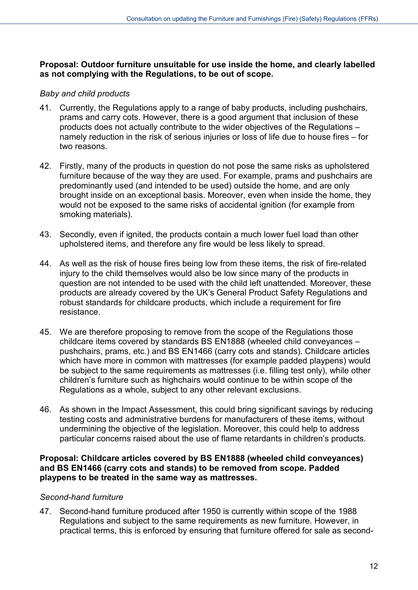#### **Proposal: Outdoor furniture unsuitable for use inside the home, and clearly labelled as not complying with the Regulations, to be out of scope.**

#### *Baby and child products*

- 41. Currently, the Regulations apply to a range of baby products, including pushchairs, prams and carry cots. However, there is a good argument that inclusion of these products does not actually contribute to the wider objectives of the Regulations – namely reduction in the risk of serious injuries or loss of life due to house fires – for two reasons.
- 42. Firstly, many of the products in question do not pose the same risks as upholstered furniture because of the way they are used. For example, prams and pushchairs are predominantly used (and intended to be used) outside the home, and are only brought inside on an exceptional basis. Moreover, even when inside the home, they would not be exposed to the same risks of accidental ignition (for example from smoking materials).
- 43. Secondly, even if ignited, the products contain a much lower fuel load than other upholstered items, and therefore any fire would be less likely to spread.
- 44. As well as the risk of house fires being low from these items, the risk of fire-related injury to the child themselves would also be low since many of the products in question are not intended to be used with the child left unattended. Moreover, these products are already covered by the UK's General Product Safety Regulations and robust standards for childcare products, which include a requirement for fire resistance.
- 45. We are therefore proposing to remove from the scope of the Regulations those childcare items covered by standards BS EN1888 (wheeled child conveyances – pushchairs, prams, etc.) and BS EN1466 (carry cots and stands). Childcare articles which have more in common with mattresses (for example padded playpens) would be subject to the same requirements as mattresses (i.e. filling test only), while other children's furniture such as highchairs would continue to be within scope of the Regulations as a whole, subject to any other relevant exclusions.
- 46. As shown in the Impact Assessment, this could bring significant savings by reducing testing costs and administrative burdens for manufacturers of these items, without undermining the objective of the legislation. Moreover, this could help to address particular concerns raised about the use of flame retardants in children's products.

#### **Proposal: Childcare articles covered by BS EN1888 (wheeled child conveyances) and BS EN1466 (carry cots and stands) to be removed from scope. Padded playpens to be treated in the same way as mattresses.**

#### *Second-hand furniture*

47. Second-hand furniture produced after 1950 is currently within scope of the 1988 Regulations and subject to the same requirements as new furniture. However, in practical terms, this is enforced by ensuring that furniture offered for sale as second-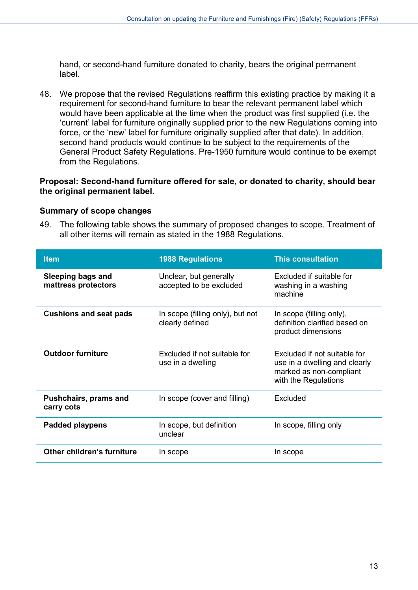hand, or second-hand furniture donated to charity, bears the original permanent label.

48. We propose that the revised Regulations reaffirm this existing practice by making it a requirement for second-hand furniture to bear the relevant permanent label which would have been applicable at the time when the product was first supplied (i.e. the 'current' label for furniture originally supplied prior to the new Regulations coming into force, or the 'new' label for furniture originally supplied after that date). In addition, second hand products would continue to be subject to the requirements of the General Product Safety Regulations. Pre-1950 furniture would continue to be exempt from the Regulations.

#### **Proposal: Second-hand furniture offered for sale, or donated to charity, should bear the original permanent label.**

#### **Summary of scope changes**

49. The following table shows the summary of proposed changes to scope. Treatment of all other items will remain as stated in the 1988 Regulations.

| <b>Item</b>                                     | <b>1988 Regulations</b>                             | <b>This consultation</b>                                                                                         |
|-------------------------------------------------|-----------------------------------------------------|------------------------------------------------------------------------------------------------------------------|
| <b>Sleeping bags and</b><br>mattress protectors | Unclear, but generally<br>accepted to be excluded   | Excluded if suitable for<br>washing in a washing<br>machine                                                      |
| <b>Cushions and seat pads</b>                   | In scope (filling only), but not<br>clearly defined | In scope (filling only),<br>definition clarified based on<br>product dimensions                                  |
| <b>Outdoor furniture</b>                        | Excluded if not suitable for<br>use in a dwelling   | Excluded if not suitable for<br>use in a dwelling and clearly<br>marked as non-compliant<br>with the Regulations |
| Pushchairs, prams and<br>carry cots             | In scope (cover and filling)                        | Excluded                                                                                                         |
| <b>Padded playpens</b>                          | In scope, but definition<br>unclear                 | In scope, filling only                                                                                           |
| Other children's furniture                      | In scope                                            | In scope                                                                                                         |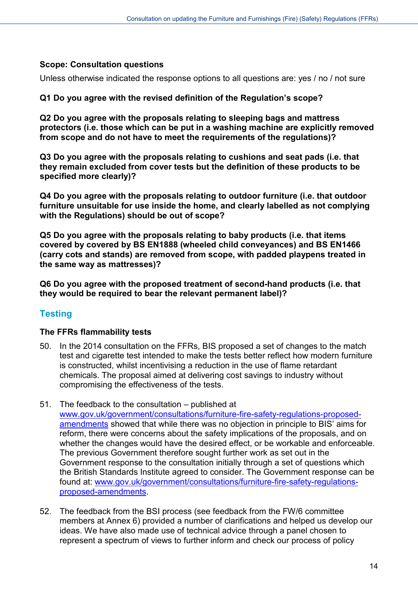#### **Scope: Consultation questions**

Unless otherwise indicated the response options to all questions are: yes / no / not sure

#### **Q1 Do you agree with the revised definition of the Regulation's scope?**

**Q2 Do you agree with the proposals relating to sleeping bags and mattress protectors (i.e. those which can be put in a washing machine are explicitly removed from scope and do not have to meet the requirements of the regulations)?**

**Q3 Do you agree with the proposals relating to cushions and seat pads (i.e. that they remain excluded from cover tests but the definition of these products to be specified more clearly)?**

**Q4 Do you agree with the proposals relating to outdoor furniture (i.e. that outdoor furniture unsuitable for use inside the home, and clearly labelled as not complying with the Regulations) should be out of scope?**

**Q5 Do you agree with the proposals relating to baby products (i.e. that items covered by covered by BS EN1888 (wheeled child conveyances) and BS EN1466 (carry cots and stands) are removed from scope, with padded playpens treated in the same way as mattresses)?**

**Q6 Do you agree with the proposed treatment of second-hand products (i.e. that they would be required to bear the relevant permanent label)?**

# <span id="page-13-0"></span>**Testing**

#### **The FFRs flammability tests**

- 50. In the 2014 consultation on the FFRs, BIS proposed a set of changes to the match test and cigarette test intended to make the tests better reflect how modern furniture is constructed, whilst incentivising a reduction in the use of flame retardant chemicals. The proposal aimed at delivering cost savings to industry without compromising the effectiveness of the tests.
- 51. The feedback to the consultation published at [www.gov.uk/government/consultations/furniture-fire-safety-regulations-proposed](https://www.gov.uk/government/consultations/furniture-fire-safety-regulations-proposed-amendments)[amendments](https://www.gov.uk/government/consultations/furniture-fire-safety-regulations-proposed-amendments) showed that while there was no objection in principle to BIS' aims for reform, there were concerns about the safety implications of the proposals, and on whether the changes would have the desired effect, or be workable and enforceable. The previous Government therefore sought further work as set out in the Government response to the consultation initially through a set of questions which the British Standards Institute agreed to consider. The Government response can be found at: [www.gov.uk/government/consultations/furniture-fire-safety-regulations](https://www.gov.uk/government/consultations/furniture-fire-safety-regulations-proposed-amendments)[proposed-amendments.](https://www.gov.uk/government/consultations/furniture-fire-safety-regulations-proposed-amendments)
- 52. The feedback from the BSI process (see feedback from the FW/6 committee members at Annex 6) provided a number of clarifications and helped us develop our ideas. We have also made use of technical advice through a panel chosen to represent a spectrum of views to further inform and check our process of policy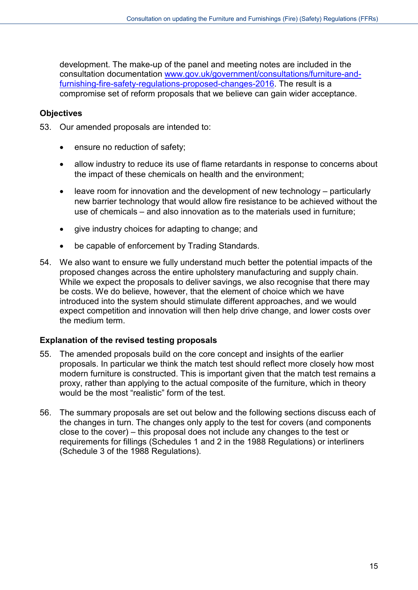development. The make-up of the panel and meeting notes are included in the consultation documentation [www.gov.uk/government/consultations/furniture-and](https://www.gov.uk/government/consultations/furniture-and-furnishing-fire-safety-regulations-proposed-changes-2016)[furnishing-fire-safety-regulations-proposed-changes-2016.](https://www.gov.uk/government/consultations/furniture-and-furnishing-fire-safety-regulations-proposed-changes-2016) The result is a compromise set of reform proposals that we believe can gain wider acceptance.

#### **Objectives**

- 53. Our amended proposals are intended to:
	- ensure no reduction of safety;
	- allow industry to reduce its use of flame retardants in response to concerns about the impact of these chemicals on health and the environment;
	- leave room for innovation and the development of new technology particularly new barrier technology that would allow fire resistance to be achieved without the use of chemicals – and also innovation as to the materials used in furniture;
	- give industry choices for adapting to change; and
	- be capable of enforcement by Trading Standards.
- 54. We also want to ensure we fully understand much better the potential impacts of the proposed changes across the entire upholstery manufacturing and supply chain. While we expect the proposals to deliver savings, we also recognise that there may be costs. We do believe, however, that the element of choice which we have introduced into the system should stimulate different approaches, and we would expect competition and innovation will then help drive change, and lower costs over the medium term.

# **Explanation of the revised testing proposals**

- 55. The amended proposals build on the core concept and insights of the earlier proposals. In particular we think the match test should reflect more closely how most modern furniture is constructed. This is important given that the match test remains a proxy, rather than applying to the actual composite of the furniture, which in theory would be the most "realistic" form of the test.
- 56. The summary proposals are set out below and the following sections discuss each of the changes in turn. The changes only apply to the test for covers (and components close to the cover) – this proposal does not include any changes to the test or requirements for fillings (Schedules 1 and 2 in the 1988 Regulations) or interliners (Schedule 3 of the 1988 Regulations).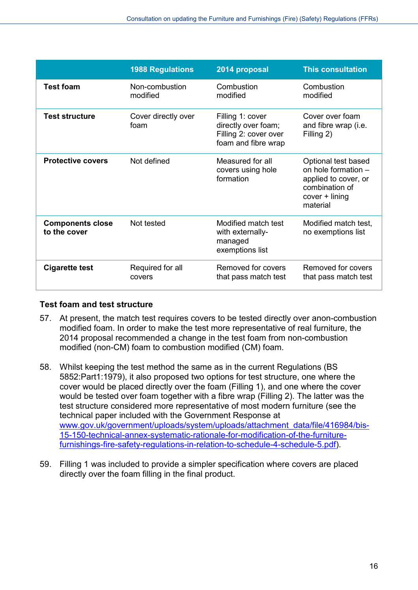|                                         | <b>1988 Regulations</b>     | 2014 proposal                                                                           | <b>This consultation</b>                                                                                             |
|-----------------------------------------|-----------------------------|-----------------------------------------------------------------------------------------|----------------------------------------------------------------------------------------------------------------------|
| <b>Test foam</b>                        | Non-combustion<br>modified  | Combustion<br>modified                                                                  | Combustion<br>modified                                                                                               |
| <b>Test structure</b>                   | Cover directly over<br>foam | Filling 1: cover<br>directly over foam;<br>Filling 2: cover over<br>foam and fibre wrap | Cover over foam<br>and fibre wrap (i.e.<br>Filling 2)                                                                |
| <b>Protective covers</b>                | Not defined                 | Measured for all<br>covers using hole<br>formation                                      | Optional test based<br>on hole formation -<br>applied to cover, or<br>combination of<br>$cover + lining$<br>material |
| <b>Components close</b><br>to the cover | Not tested                  | Modified match test<br>with externally-<br>managed<br>exemptions list                   | Modified match test,<br>no exemptions list                                                                           |
| <b>Cigarette test</b>                   | Required for all<br>covers  | Removed for covers<br>that pass match test                                              | Removed for covers<br>that pass match test                                                                           |

#### **Test foam and test structure**

- 57. At present, the match test requires covers to be tested directly over anon-combustion modified foam. In order to make the test more representative of real furniture, the 2014 proposal recommended a change in the test foam from non-combustion modified (non-CM) foam to combustion modified (CM) foam.
- 58. Whilst keeping the test method the same as in the current Regulations (BS 5852:Part1:1979), it also proposed two options for test structure, one where the cover would be placed directly over the foam (Filling 1), and one where the cover would be tested over foam together with a fibre wrap (Filling 2). The latter was the test structure considered more representative of most modern furniture (see the technical paper included with the Government Response at [www.gov.uk/government/uploads/system/uploads/attachment\\_data/file/416984/bis-](https://www.gov.uk/government/uploads/system/uploads/attachment_data/file/416984/bis-15-150-technical-annex-systematic-rationale-for-modification-of-the-furniture-furnishings-fire-safety-regulations-in-relation-to-schedule-4-schedule-5.pdf)[15-150-technical-annex-systematic-rationale-for-modification-of-the-furniture](https://www.gov.uk/government/uploads/system/uploads/attachment_data/file/416984/bis-15-150-technical-annex-systematic-rationale-for-modification-of-the-furniture-furnishings-fire-safety-regulations-in-relation-to-schedule-4-schedule-5.pdf)[furnishings-fire-safety-regulations-in-relation-to-schedule-4-schedule-5.pdf\)](https://www.gov.uk/government/uploads/system/uploads/attachment_data/file/416984/bis-15-150-technical-annex-systematic-rationale-for-modification-of-the-furniture-furnishings-fire-safety-regulations-in-relation-to-schedule-4-schedule-5.pdf).
- 59. Filling 1 was included to provide a simpler specification where covers are placed directly over the foam filling in the final product.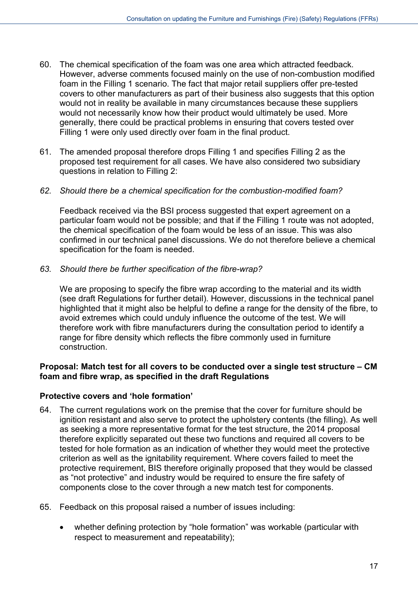- 60. The chemical specification of the foam was one area which attracted feedback. However, adverse comments focused mainly on the use of non-combustion modified foam in the Filling 1 scenario. The fact that major retail suppliers offer pre-tested covers to other manufacturers as part of their business also suggests that this option would not in reality be available in many circumstances because these suppliers would not necessarily know how their product would ultimately be used. More generally, there could be practical problems in ensuring that covers tested over Filling 1 were only used directly over foam in the final product.
- 61. The amended proposal therefore drops Filling 1 and specifies Filling 2 as the proposed test requirement for all cases. We have also considered two subsidiary questions in relation to Filling 2:

#### *62. Should there be a chemical specification for the combustion-modified foam?*

Feedback received via the BSI process suggested that expert agreement on a particular foam would not be possible; and that if the Filling 1 route was not adopted, the chemical specification of the foam would be less of an issue. This was also confirmed in our technical panel discussions. We do not therefore believe a chemical specification for the foam is needed.

*63. Should there be further specification of the fibre-wrap?*

We are proposing to specify the fibre wrap according to the material and its width (see draft Regulations for further detail). However, discussions in the technical panel highlighted that it might also be helpful to define a range for the density of the fibre, to avoid extremes which could unduly influence the outcome of the test. We will therefore work with fibre manufacturers during the consultation period to identify a range for fibre density which reflects the fibre commonly used in furniture construction.

#### **Proposal: Match test for all covers to be conducted over a single test structure – CM foam and fibre wrap, as specified in the draft Regulations**

#### **Protective covers and 'hole formation'**

- 64. The current regulations work on the premise that the cover for furniture should be ignition resistant and also serve to protect the upholstery contents (the filling). As well as seeking a more representative format for the test structure, the 2014 proposal therefore explicitly separated out these two functions and required all covers to be tested for hole formation as an indication of whether they would meet the protective criterion as well as the ignitability requirement. Where covers failed to meet the protective requirement, BIS therefore originally proposed that they would be classed as "not protective" and industry would be required to ensure the fire safety of components close to the cover through a new match test for components.
- 65. Feedback on this proposal raised a number of issues including:
	- whether defining protection by "hole formation" was workable (particular with respect to measurement and repeatability);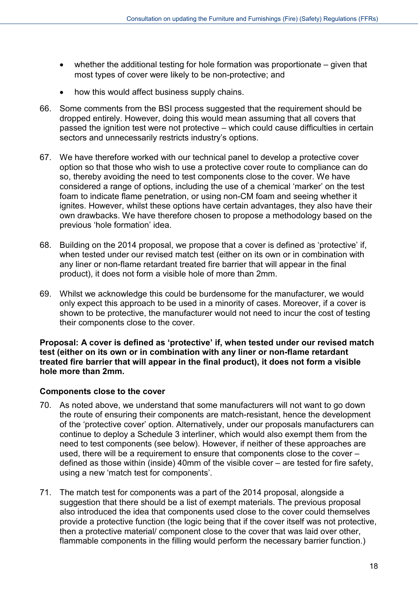- whether the additional testing for hole formation was proportionate given that most types of cover were likely to be non-protective; and
- how this would affect business supply chains.
- 66. Some comments from the BSI process suggested that the requirement should be dropped entirely. However, doing this would mean assuming that all covers that passed the ignition test were not protective – which could cause difficulties in certain sectors and unnecessarily restricts industry's options.
- 67. We have therefore worked with our technical panel to develop a protective cover option so that those who wish to use a protective cover route to compliance can do so, thereby avoiding the need to test components close to the cover. We have considered a range of options, including the use of a chemical 'marker' on the test foam to indicate flame penetration, or using non-CM foam and seeing whether it ignites. However, whilst these options have certain advantages, they also have their own drawbacks. We have therefore chosen to propose a methodology based on the previous 'hole formation' idea.
- 68. Building on the 2014 proposal, we propose that a cover is defined as 'protective' if, when tested under our revised match test (either on its own or in combination with any liner or non-flame retardant treated fire barrier that will appear in the final product), it does not form a visible hole of more than 2mm.
- 69. Whilst we acknowledge this could be burdensome for the manufacturer, we would only expect this approach to be used in a minority of cases. Moreover, if a cover is shown to be protective, the manufacturer would not need to incur the cost of testing their components close to the cover.

**Proposal: A cover is defined as 'protective' if, when tested under our revised match test (either on its own or in combination with any liner or non-flame retardant treated fire barrier that will appear in the final product), it does not form a visible hole more than 2mm.**

#### **Components close to the cover**

- 70. As noted above, we understand that some manufacturers will not want to go down the route of ensuring their components are match-resistant, hence the development of the 'protective cover' option. Alternatively, under our proposals manufacturers can continue to deploy a Schedule 3 interliner, which would also exempt them from the need to test components (see below). However, if neither of these approaches are used, there will be a requirement to ensure that components close to the cover – defined as those within (inside) 40mm of the visible cover – are tested for fire safety, using a new 'match test for components'.
- 71. The match test for components was a part of the 2014 proposal, alongside a suggestion that there should be a list of exempt materials. The previous proposal also introduced the idea that components used close to the cover could themselves provide a protective function (the logic being that if the cover itself was not protective, then a protective material/ component close to the cover that was laid over other, flammable components in the filling would perform the necessary barrier function.)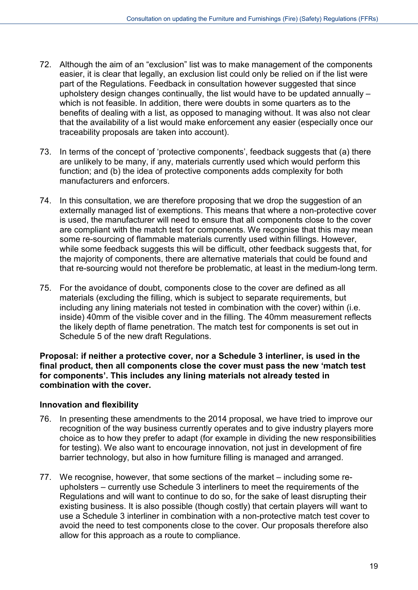- 72. Although the aim of an "exclusion" list was to make management of the components easier, it is clear that legally, an exclusion list could only be relied on if the list were part of the Regulations. Feedback in consultation however suggested that since upholstery design changes continually, the list would have to be updated annually – which is not feasible. In addition, there were doubts in some quarters as to the benefits of dealing with a list, as opposed to managing without. It was also not clear that the availability of a list would make enforcement any easier (especially once our traceability proposals are taken into account).
- 73. In terms of the concept of 'protective components', feedback suggests that (a) there are unlikely to be many, if any, materials currently used which would perform this function; and (b) the idea of protective components adds complexity for both manufacturers and enforcers.
- 74. In this consultation, we are therefore proposing that we drop the suggestion of an externally managed list of exemptions. This means that where a non-protective cover is used, the manufacturer will need to ensure that all components close to the cover are compliant with the match test for components. We recognise that this may mean some re-sourcing of flammable materials currently used within fillings. However, while some feedback suggests this will be difficult, other feedback suggests that, for the majority of components, there are alternative materials that could be found and that re-sourcing would not therefore be problematic, at least in the medium-long term.
- 75. For the avoidance of doubt, components close to the cover are defined as all materials (excluding the filling, which is subject to separate requirements, but including any lining materials not tested in combination with the cover) within (i.e. inside) 40mm of the visible cover and in the filling. The 40mm measurement reflects the likely depth of flame penetration. The match test for components is set out in Schedule 5 of the new draft Regulations.

**Proposal: if neither a protective cover, nor a Schedule 3 interliner, is used in the final product, then all components close the cover must pass the new 'match test for components'. This includes any lining materials not already tested in combination with the cover.**

#### **Innovation and flexibility**

- 76. In presenting these amendments to the 2014 proposal, we have tried to improve our recognition of the way business currently operates and to give industry players more choice as to how they prefer to adapt (for example in dividing the new responsibilities for testing). We also want to encourage innovation, not just in development of fire barrier technology, but also in how furniture filling is managed and arranged.
- 77. We recognise, however, that some sections of the market including some reupholsters – currently use Schedule 3 interliners to meet the requirements of the Regulations and will want to continue to do so, for the sake of least disrupting their existing business. It is also possible (though costly) that certain players will want to use a Schedule 3 interliner in combination with a non-protective match test cover to avoid the need to test components close to the cover. Our proposals therefore also allow for this approach as a route to compliance.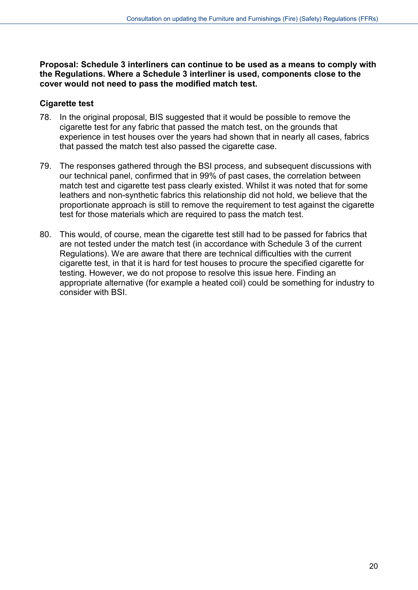**Proposal: Schedule 3 interliners can continue to be used as a means to comply with the Regulations. Where a Schedule 3 interliner is used, components close to the cover would not need to pass the modified match test.**

## **Cigarette test**

- 78. In the original proposal, BIS suggested that it would be possible to remove the cigarette test for any fabric that passed the match test, on the grounds that experience in test houses over the years had shown that in nearly all cases, fabrics that passed the match test also passed the cigarette case.
- 79. The responses gathered through the BSI process, and subsequent discussions with our technical panel, confirmed that in 99% of past cases, the correlation between match test and cigarette test pass clearly existed. Whilst it was noted that for some leathers and non-synthetic fabrics this relationship did not hold, we believe that the proportionate approach is still to remove the requirement to test against the cigarette test for those materials which are required to pass the match test.
- 80. This would, of course, mean the cigarette test still had to be passed for fabrics that are not tested under the match test (in accordance with Schedule 3 of the current Regulations). We are aware that there are technical difficulties with the current cigarette test, in that it is hard for test houses to procure the specified cigarette for testing. However, we do not propose to resolve this issue here. Finding an appropriate alternative (for example a heated coil) could be something for industry to consider with BSI.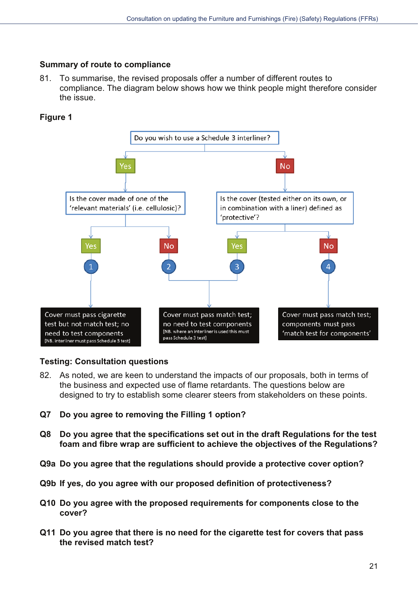## **Summary of route to compliance**

81. To summarise, the revised proposals offer a number of different routes to compliance. The diagram below shows how we think people might therefore consider the issue.

# **Figure 1**



# **Testing: Consultation questions**

- 82. As noted, we are keen to understand the impacts of our proposals, both in terms of the business and expected use of flame retardants. The questions below are designed to try to establish some clearer steers from stakeholders on these points.
- **Q7** Do you agree to removing the Filling 1 option?
- **Q8** Do you agree that the specifications set out in the draft Regulations for the test **Foam and fibre wrap are sufficient to achieve the objectives of the Regulations?**
- **Q9a Do you agree that the regulations should provide a protective cover option?**
- Q9b If yes, do you agree with our proposed definition of protectiveness?
- **Q10 Do you agree with the proposed requirements for components close to the** cover?
- **Q11 Do you agree that there is no need for the cigarette test for covers that pass** the revised match test?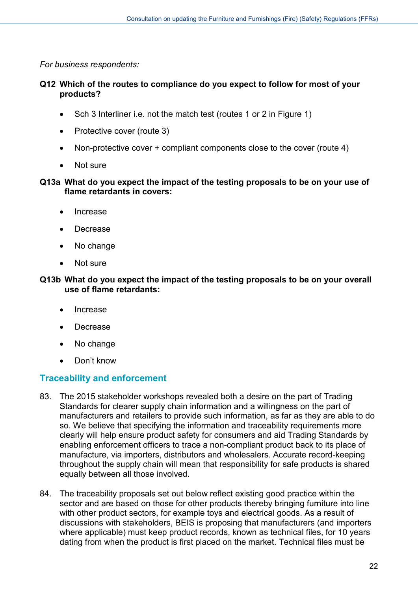*For business respondents:*

#### **Q12 Which of the routes to compliance do you expect to follow for most of your products?**

- Sch 3 Interliner i.e. not the match test (routes 1 or 2 in Figure 1)
- Protective cover (route 3)
- Non-protective cover + compliant components close to the cover (route 4)
- Not sure

#### **Q13a What do you expect the impact of the testing proposals to be on your use of flame retardants in covers:**

- Increase
- Decrease
- No change
- Not sure

#### **Q13b What do you expect the impact of the testing proposals to be on your overall use of flame retardants:**

- Increase
- Decrease
- No change
- Don't know

# <span id="page-21-0"></span>**Traceability and enforcement**

- 83. The 2015 stakeholder workshops revealed both a desire on the part of Trading Standards for clearer supply chain information and a willingness on the part of manufacturers and retailers to provide such information, as far as they are able to do so. We believe that specifying the information and traceability requirements more clearly will help ensure product safety for consumers and aid Trading Standards by enabling enforcement officers to trace a non-compliant product back to its place of manufacture, via importers, distributors and wholesalers. Accurate record-keeping throughout the supply chain will mean that responsibility for safe products is shared equally between all those involved.
- 84. The traceability proposals set out below reflect existing good practice within the sector and are based on those for other products thereby bringing furniture into line with other product sectors, for example toys and electrical goods. As a result of discussions with stakeholders, BEIS is proposing that manufacturers (and importers where applicable) must keep product records, known as technical files, for 10 years dating from when the product is first placed on the market. Technical files must be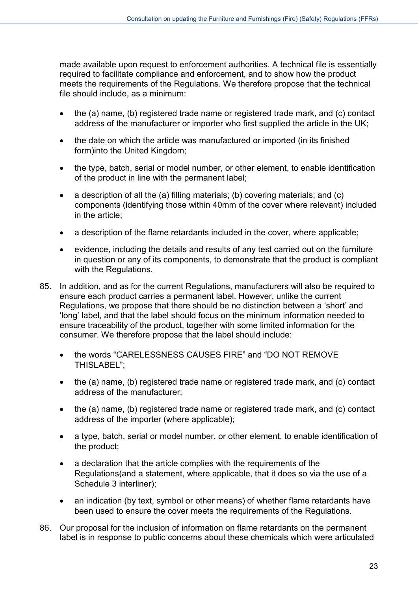made available upon request to enforcement authorities. A technical file is essentially required to facilitate compliance and enforcement, and to show how the product meets the requirements of the Regulations. We therefore propose that the technical file should include, as a minimum:

- the (a) name, (b) registered trade name or registered trade mark, and (c) contact address of the manufacturer or importer who first supplied the article in the UK;
- the date on which the article was manufactured or imported (in its finished form)into the United Kingdom;
- the type, batch, serial or model number, or other element, to enable identification of the product in line with the permanent label;
- a description of all the (a) filling materials; (b) covering materials; and (c) components (identifying those within 40mm of the cover where relevant) included in the article;
- a description of the flame retardants included in the cover, where applicable;
- evidence, including the details and results of any test carried out on the furniture in question or any of its components, to demonstrate that the product is compliant with the Regulations.
- 85. In addition, and as for the current Regulations, manufacturers will also be required to ensure each product carries a permanent label. However, unlike the current Regulations, we propose that there should be no distinction between a 'short' and 'long' label, and that the label should focus on the minimum information needed to ensure traceability of the product, together with some limited information for the consumer. We therefore propose that the label should include:
	- the words "CARELESSNESS CAUSES FIRE" and "DO NOT REMOVE THISLABEL";
	- the (a) name, (b) registered trade name or registered trade mark, and (c) contact address of the manufacturer;
	- the (a) name, (b) registered trade name or registered trade mark, and (c) contact address of the importer (where applicable);
	- a type, batch, serial or model number, or other element, to enable identification of the product;
	- a declaration that the article complies with the requirements of the Regulations(and a statement, where applicable, that it does so via the use of a Schedule 3 interliner);
	- an indication (by text, symbol or other means) of whether flame retardants have been used to ensure the cover meets the requirements of the Regulations.
- 86. Our proposal for the inclusion of information on flame retardants on the permanent label is in response to public concerns about these chemicals which were articulated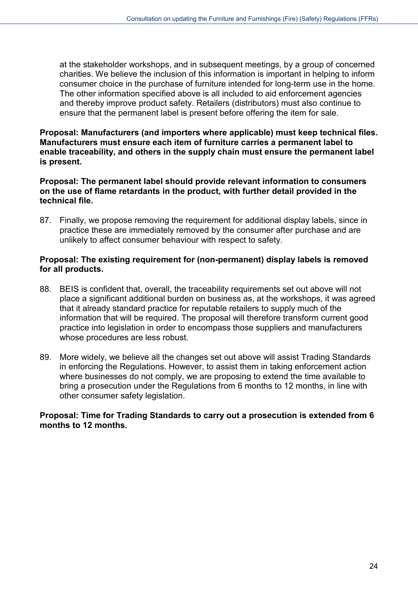at the stakeholder workshops, and in subsequent meetings, by a group of concerned charities. We believe the inclusion of this information is important in helping to inform consumer choice in the purchase of furniture intended for long-term use in the home. The other information specified above is all included to aid enforcement agencies and thereby improve product safety. Retailers (distributors) must also continue to ensure that the permanent label is present before offering the item for sale.

**Proposal: Manufacturers (and importers where applicable) must keep technical files. Manufacturers must ensure each item of furniture carries a permanent label to enable traceability, and others in the supply chain must ensure the permanent label is present.**

**Proposal: The permanent label should provide relevant information to consumers on the use of flame retardants in the product, with further detail provided in the technical file.**

87. Finally, we propose removing the requirement for additional display labels, since in practice these are immediately removed by the consumer after purchase and are unlikely to affect consumer behaviour with respect to safety.

#### **Proposal: The existing requirement for (non-permanent) display labels is removed for all products.**

- 88. BEIS is confident that, overall, the traceability requirements set out above will not place a significant additional burden on business as, at the workshops, it was agreed that it already standard practice for reputable retailers to supply much of the information that will be required. The proposal will therefore transform current good practice into legislation in order to encompass those suppliers and manufacturers whose procedures are less robust.
- 89. More widely, we believe all the changes set out above will assist Trading Standards in enforcing the Regulations. However, to assist them in taking enforcement action where businesses do not comply, we are proposing to extend the time available to bring a prosecution under the Regulations from 6 months to 12 months, in line with other consumer safety legislation.

#### **Proposal: Time for Trading Standards to carry out a prosecution is extended from 6 months to 12 months.**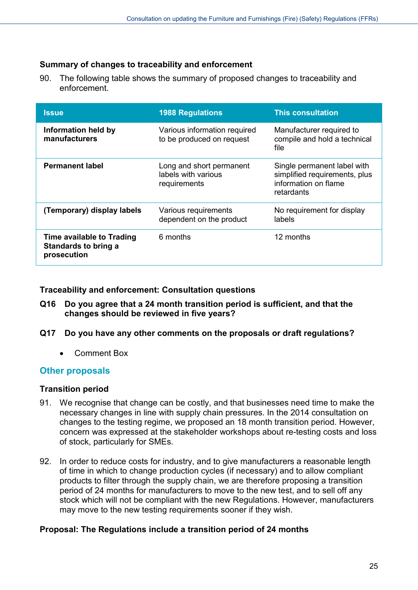## **Summary of changes to traceability and enforcement**

90. The following table shows the summary of proposed changes to traceability and enforcement.

| <b>Issue</b>                                                     | <b>1988 Regulations</b>                                         | <b>This consultation</b>                                                                           |
|------------------------------------------------------------------|-----------------------------------------------------------------|----------------------------------------------------------------------------------------------------|
| Information held by<br>manufacturers                             | Various information required<br>to be produced on request       | Manufacturer required to<br>compile and hold a technical<br>file                                   |
| <b>Permanent label</b>                                           | Long and short permanent<br>labels with various<br>requirements | Single permanent label with<br>simplified requirements, plus<br>information on flame<br>retardants |
| (Temporary) display labels                                       | Various requirements<br>dependent on the product                | No requirement for display<br>labels                                                               |
| Time available to Trading<br>Standards to bring a<br>prosecution | 6 months                                                        | 12 months                                                                                          |

**Traceability and enforcement: Consultation questions**

- **Q16 Do you agree that a 24 month transition period is sufficient, and that the changes should be reviewed in five years?**
- **Q17 Do you have any other comments on the proposals or draft regulations?**
	- Comment Box

#### <span id="page-24-0"></span>**Other proposals**

#### **Transition period**

- 91. We recognise that change can be costly, and that businesses need time to make the necessary changes in line with supply chain pressures. In the 2014 consultation on changes to the testing regime, we proposed an 18 month transition period. However, concern was expressed at the stakeholder workshops about re-testing costs and loss of stock, particularly for SMEs.
- 92. In order to reduce costs for industry, and to give manufacturers a reasonable length of time in which to change production cycles (if necessary) and to allow compliant products to filter through the supply chain, we are therefore proposing a transition period of 24 months for manufacturers to move to the new test, and to sell off any stock which will not be compliant with the new Regulations. However, manufacturers may move to the new testing requirements sooner if they wish.

#### **Proposal: The Regulations include a transition period of 24 months**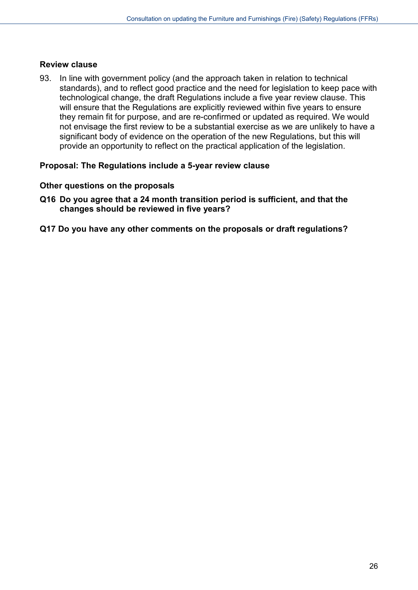#### **Review clause**

93. In line with government policy (and the approach taken in relation to technical standards), and to reflect good practice and the need for legislation to keep pace with technological change, the draft Regulations include a five year review clause. This will ensure that the Regulations are explicitly reviewed within five years to ensure they remain fit for purpose, and are re-confirmed or updated as required. We would not envisage the first review to be a substantial exercise as we are unlikely to have a significant body of evidence on the operation of the new Regulations, but this will provide an opportunity to reflect on the practical application of the legislation.

#### **Proposal: The Regulations include a 5-year review clause**

#### **Other questions on the proposals**

- **Q16 Do you agree that a 24 month transition period is sufficient, and that the changes should be reviewed in five years?**
- **Q17 Do you have any other comments on the proposals or draft regulations?**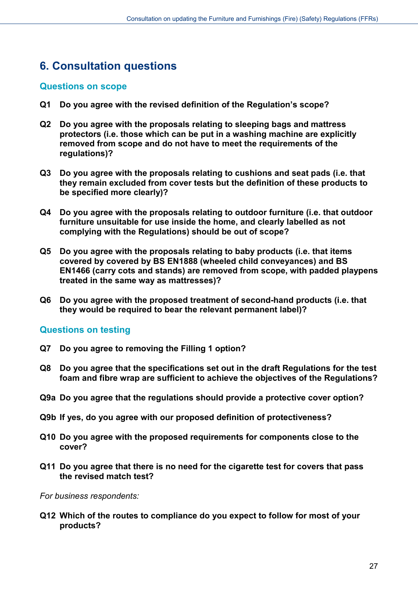# <span id="page-26-0"></span>**6. Consultation questions**

#### <span id="page-26-1"></span>**Questions on scope**

- **Q1 Do you agree with the revised definition of the Regulation's scope?**
- **Q2 Do you agree with the proposals relating to sleeping bags and mattress protectors (i.e. those which can be put in a washing machine are explicitly removed from scope and do not have to meet the requirements of the regulations)?**
- **Q3 Do you agree with the proposals relating to cushions and seat pads (i.e. that they remain excluded from cover tests but the definition of these products to be specified more clearly)?**
- **Q4 Do you agree with the proposals relating to outdoor furniture (i.e. that outdoor furniture unsuitable for use inside the home, and clearly labelled as not complying with the Regulations) should be out of scope?**
- **Q5 Do you agree with the proposals relating to baby products (i.e. that items covered by covered by BS EN1888 (wheeled child conveyances) and BS EN1466 (carry cots and stands) are removed from scope, with padded playpens treated in the same way as mattresses)?**
- **Q6 Do you agree with the proposed treatment of second-hand products (i.e. that they would be required to bear the relevant permanent label)?**

#### <span id="page-26-2"></span>**Questions on testing**

- **Q7 Do you agree to removing the Filling 1 option?**
- **Q8 Do you agree that the specifications set out in the draft Regulations for the test foam and fibre wrap are sufficient to achieve the objectives of the Regulations?**
- **Q9a Do you agree that the regulations should provide a protective cover option?**
- **Q9b If yes, do you agree with our proposed definition of protectiveness?**
- **Q10 Do you agree with the proposed requirements for components close to the cover?**
- **Q11 Do you agree that there is no need for the cigarette test for covers that pass the revised match test?**

*For business respondents:*

**Q12 Which of the routes to compliance do you expect to follow for most of your products?**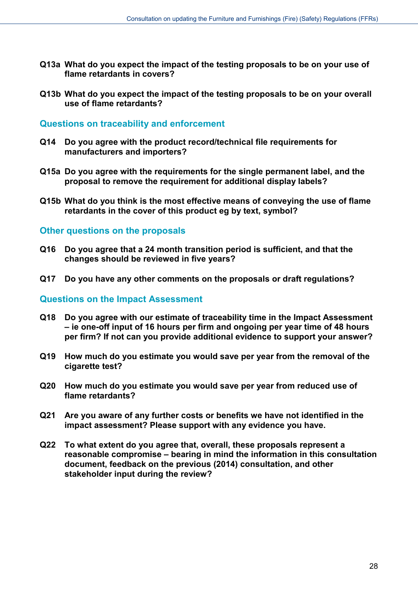- **Q13a What do you expect the impact of the testing proposals to be on your use of flame retardants in covers?**
- **Q13b What do you expect the impact of the testing proposals to be on your overall use of flame retardants?**

#### <span id="page-27-0"></span>**Questions on traceability and enforcement**

- **Q14 Do you agree with the product record/technical file requirements for manufacturers and importers?**
- **Q15a Do you agree with the requirements for the single permanent label, and the proposal to remove the requirement for additional display labels?**
- **Q15b What do you think is the most effective means of conveying the use of flame retardants in the cover of this product eg by text, symbol?**

#### <span id="page-27-1"></span>**Other questions on the proposals**

- **Q16 Do you agree that a 24 month transition period is sufficient, and that the changes should be reviewed in five years?**
- **Q17 Do you have any other comments on the proposals or draft regulations?**

#### <span id="page-27-2"></span>**Questions on the Impact Assessment**

- **Q18 Do you agree with our estimate of traceability time in the Impact Assessment – ie one-off input of 16 hours per firm and ongoing per year time of 48 hours per firm? If not can you provide additional evidence to support your answer?**
- **Q19 How much do you estimate you would save per year from the removal of the cigarette test?**
- **Q20 How much do you estimate you would save per year from reduced use of flame retardants?**
- **Q21 Are you aware of any further costs or benefits we have not identified in the impact assessment? Please support with any evidence you have.**
- **Q22 To what extent do you agree that, overall, these proposals represent a reasonable compromise – bearing in mind the information in this consultation document, feedback on the previous (2014) consultation, and other stakeholder input during the review?**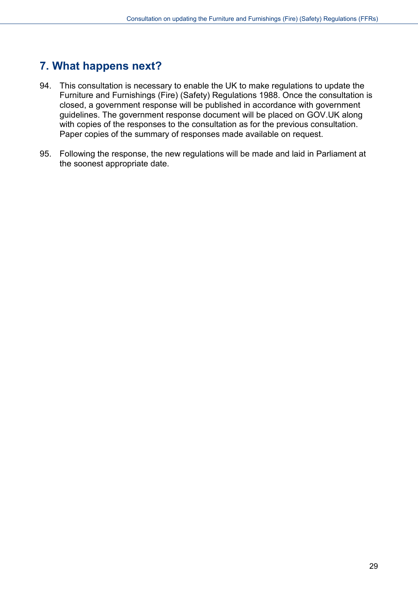# <span id="page-28-0"></span>**7. What happens next?**

- 94. This consultation is necessary to enable the UK to make regulations to update the Furniture and Furnishings (Fire) (Safety) Regulations 1988. Once the consultation is closed, a government response will be published in accordance with government guidelines. The government response document will be placed on GOV.UK along with copies of the responses to the consultation as for the previous consultation. Paper copies of the summary of responses made available on request.
- 95. Following the response, the new regulations will be made and laid in Parliament at the soonest appropriate date.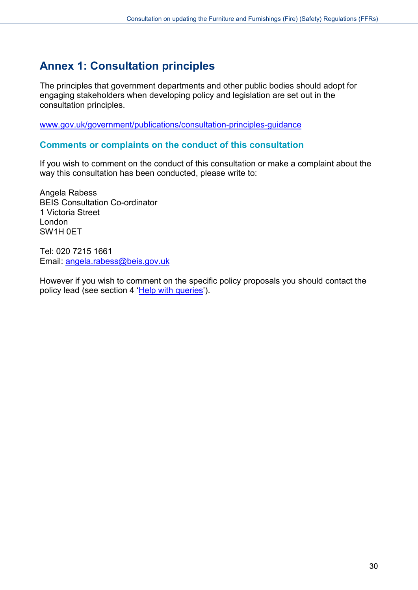# <span id="page-29-0"></span>**Annex 1: Consultation principles**

The principles that government departments and other public bodies should adopt for engaging stakeholders when developing policy and legislation are set out in the consultation principles.

[www.gov.uk/government/publications/consultation-principles-guidance](https://www.gov.uk/government/publications/consultation-principles-guidance)

#### **Comments or complaints on the conduct of this consultation**

If you wish to comment on the conduct of this consultation or make a complaint about the way this consultation has been conducted, please write to:

Angela Rabess BEIS Consultation Co-ordinator 1 Victoria Street London SW1H 0ET

Tel: 020 7215 1661 Email: [angela.rabess@beis.gov.uk](mailto:angela.rabess@beis.gov.uk)

However if you wish to comment on the specific policy proposals you should contact the policy lead (see section 4 ['Help with queries'](#page-6-1)).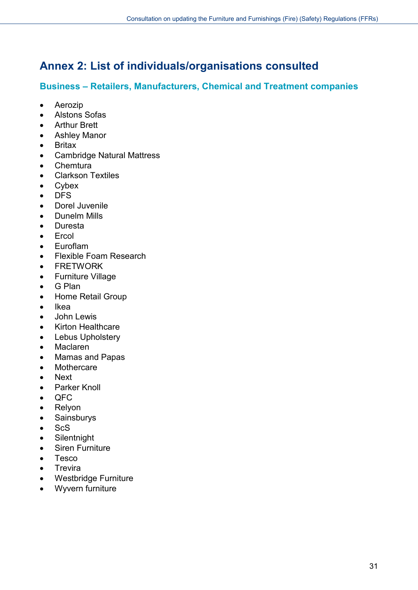# <span id="page-30-0"></span>**Annex 2: List of individuals/organisations consulted**

# **Business – Retailers, Manufacturers, Chemical and Treatment companies**

- Aerozip
- Alstons Sofas
- Arthur Brett
- Ashley Manor
- Britax
- Cambridge Natural Mattress
- Chemtura
- Clarkson Textiles
- Cybex
- DFS
- Dorel Juvenile
- Dunelm Mills
- Duresta
- Ercol
- Euroflam
- Flexible Foam Research
- FRETWORK
- Furniture Village
- G Plan
- Home Retail Group
- Ikea
- John Lewis
- Kirton Healthcare
- Lebus Upholstery
- Maclaren
- Mamas and Papas
- Mothercare
- Next
- Parker Knoll
- QFC
- Relyon
- Sainsburys
- ScS
- Silentnight
- Siren Furniture
- Tesco
- Trevira
- Westbridge Furniture
- Wyvern furniture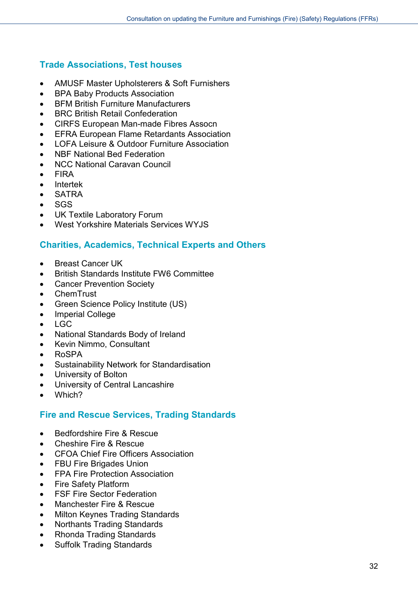# **Trade Associations, Test houses**

- AMUSF Master Upholsterers & Soft Furnishers
- BPA Baby Products Association
- BFM British Furniture Manufacturers
- BRC British Retail Confederation
- CIRFS European Man-made Fibres Assocn
- EFRA European Flame Retardants Association
- LOFA Leisure & Outdoor Furniture Association
- NBF National Bed Federation
- NCC National Caravan Council
- FIRA
- Intertek
- SATRA
- SGS
- UK Textile Laboratory Forum
- West Yorkshire Materials Services WYJS

# **Charities, Academics, Technical Experts and Others**

- Breast Cancer UK
- British Standards Institute FW6 Committee
- Cancer Prevention Society
- ChemTrust
- Green Science Policy Institute (US)
- Imperial College
- LGC
- National Standards Body of Ireland
- Kevin Nimmo, Consultant
- RoSPA
- Sustainability Network for Standardisation
- University of Bolton
- University of Central Lancashire
- Which?

# **Fire and Rescue Services, Trading Standards**

- Bedfordshire Fire & Rescue
- Cheshire Fire & Rescue
- CFOA Chief Fire Officers Association
- FBU Fire Brigades Union
- FPA Fire Protection Association
- Fire Safety Platform
- FSF Fire Sector Federation
- Manchester Fire & Rescue
- Milton Keynes Trading Standards
- Northants Trading Standards
- Rhonda Trading Standards
- **Suffolk Trading Standards**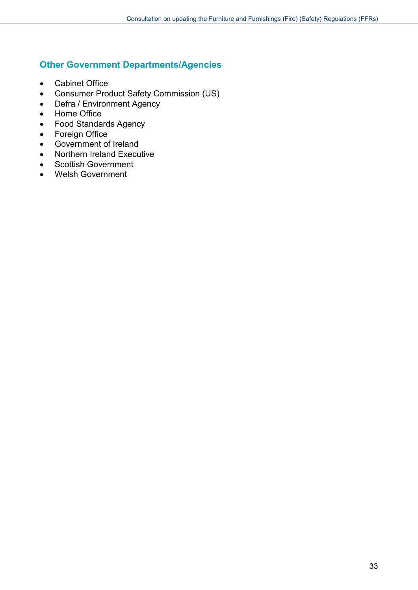# **Other Government Departments/Agencies**

- Cabinet Office
- Consumer Product Safety Commission (US)
- Defra / Environment Agency
- Home Office
- Food Standards Agency
- Foreign Office
- Government of Ireland
- Northern Ireland Executive
- Scottish Government
- Welsh Government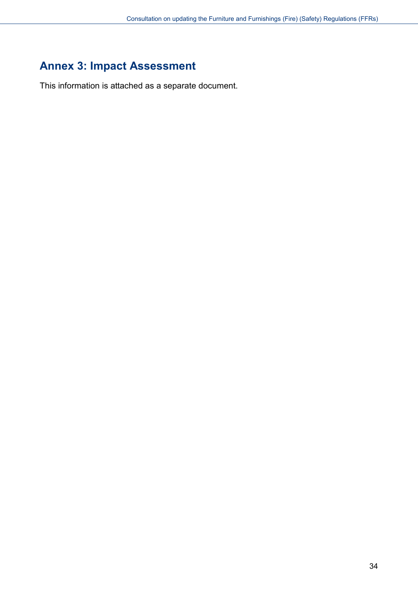# <span id="page-33-0"></span>**Annex 3: Impact Assessment**

This information is attached as a separate document.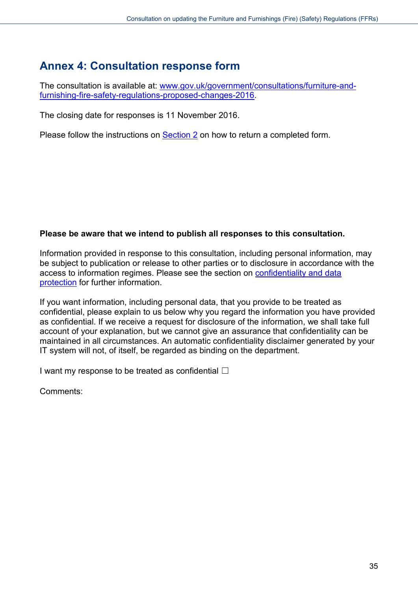# <span id="page-34-0"></span>**Annex 4: Consultation response form**

The consultation is available at: [www.gov.uk/government/consultations/furniture-and](https://www.gov.uk/government/consultations/furniture-and-furnishing-fire-safety-regulations-proposed-changes-2016)[furnishing-fire-safety-regulations-proposed-changes-2016.](https://www.gov.uk/government/consultations/furniture-and-furnishing-fire-safety-regulations-proposed-changes-2016)

The closing date for responses is 11 November 2016.

Please follow the instructions on [Section 2](#page-5-0) on how to return a completed form.

#### **Please be aware that we intend to publish all responses to this consultation.**

Information provided in response to this consultation, including personal information, may be subject to publication or release to other parties or to disclosure in accordance with the access to information regimes. Please see the section on [confidentiality and data](#page-6-0)  [protection](#page-6-0) for further information.

If you want information, including personal data, that you provide to be treated as confidential, please explain to us below why you regard the information you have provided as confidential. If we receive a request for disclosure of the information, we shall take full account of your explanation, but we cannot give an assurance that confidentiality can be maintained in all circumstances. An automatic confidentiality disclaimer generated by your IT system will not, of itself, be regarded as binding on the department.

I want my response to be treated as confidential  $\Box$ 

Comments: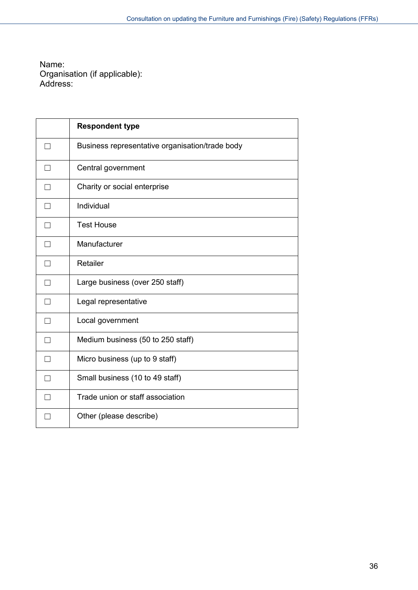Name: Organisation (if applicable): Address:

|   | <b>Respondent type</b>                          |
|---|-------------------------------------------------|
| ٦ | Business representative organisation/trade body |
| П | Central government                              |
| П | Charity or social enterprise                    |
|   | Individual                                      |
| П | <b>Test House</b>                               |
| П | Manufacturer                                    |
|   | Retailer                                        |
| П | Large business (over 250 staff)                 |
| П | Legal representative                            |
| П | Local government                                |
| П | Medium business (50 to 250 staff)               |
| П | Micro business (up to 9 staff)                  |
|   | Small business (10 to 49 staff)                 |
| П | Trade union or staff association                |
|   | Other (please describe)                         |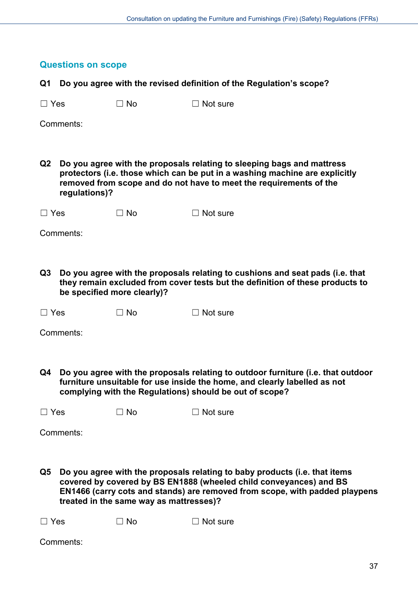|            | <b>Questions on scope</b> |                                         |                                                                                                                                                                                                                                 |
|------------|---------------------------|-----------------------------------------|---------------------------------------------------------------------------------------------------------------------------------------------------------------------------------------------------------------------------------|
| Q1         |                           |                                         | Do you agree with the revised definition of the Regulation's scope?                                                                                                                                                             |
| $\Box$ Yes |                           | $\Box$ No                               | $\Box$ Not sure                                                                                                                                                                                                                 |
|            | Comments:                 |                                         |                                                                                                                                                                                                                                 |
|            |                           |                                         |                                                                                                                                                                                                                                 |
| Q2         | regulations)?             |                                         | Do you agree with the proposals relating to sleeping bags and mattress<br>protectors (i.e. those which can be put in a washing machine are explicitly<br>removed from scope and do not have to meet the requirements of the     |
| $\Box$ Yes |                           | $\Box$ No                               | $\Box$ Not sure                                                                                                                                                                                                                 |
|            | Comments:                 |                                         |                                                                                                                                                                                                                                 |
|            |                           |                                         |                                                                                                                                                                                                                                 |
| Q3         |                           | be specified more clearly)?             | Do you agree with the proposals relating to cushions and seat pads (i.e. that<br>they remain excluded from cover tests but the definition of these products to                                                                  |
| $\Box$ Yes |                           | $\square$ No                            | $\Box$ Not sure                                                                                                                                                                                                                 |
|            | Comments:                 |                                         |                                                                                                                                                                                                                                 |
|            |                           |                                         |                                                                                                                                                                                                                                 |
| Q4         |                           |                                         | Do you agree with the proposals relating to outdoor furniture (i.e. that outdoor<br>furniture unsuitable for use inside the home, and clearly labelled as not<br>complying with the Regulations) should be out of scope?        |
| $\Box$ Yes |                           | $\Box$ No                               | $\Box$ Not sure                                                                                                                                                                                                                 |
|            | Comments:                 |                                         |                                                                                                                                                                                                                                 |
|            |                           |                                         |                                                                                                                                                                                                                                 |
| Q5         |                           | treated in the same way as mattresses)? | Do you agree with the proposals relating to baby products (i.e. that items<br>covered by covered by BS EN1888 (wheeled child conveyances) and BS<br>EN1466 (carry cots and stands) are removed from scope, with padded playpens |
| $\Box$ Yes |                           | $\Box$ No                               | $\Box$ Not sure                                                                                                                                                                                                                 |

Comments: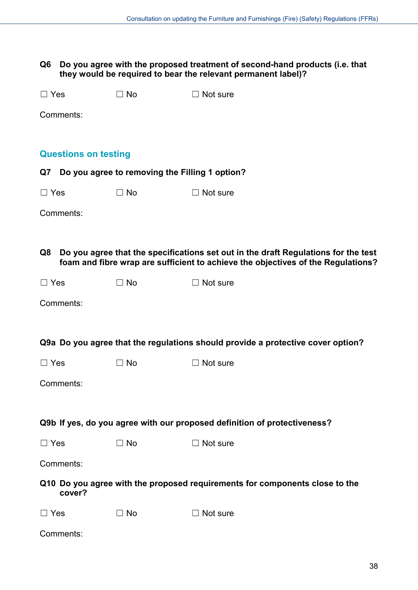**Q6 Do you agree with the proposed treatment of second-hand products (i.e. that they would be required to bear the relevant permanent label)?** 

| $\Box$ Yes |                             | $\Box$ No                                         | $\Box$ Not sure                                                                                                                                                        |
|------------|-----------------------------|---------------------------------------------------|------------------------------------------------------------------------------------------------------------------------------------------------------------------------|
|            | Comments:                   |                                                   |                                                                                                                                                                        |
|            | <b>Questions on testing</b> |                                                   |                                                                                                                                                                        |
|            |                             | Q7 Do you agree to removing the Filling 1 option? |                                                                                                                                                                        |
| $\Box$ Yes |                             | $\Box$ No                                         | $\Box$ Not sure                                                                                                                                                        |
|            | Comments:                   |                                                   |                                                                                                                                                                        |
|            |                             |                                                   |                                                                                                                                                                        |
| Q8         |                             |                                                   | Do you agree that the specifications set out in the draft Regulations for the test<br>foam and fibre wrap are sufficient to achieve the objectives of the Regulations? |
| $\Box$ Yes |                             | $\Box$ No                                         | $\Box$ Not sure                                                                                                                                                        |
|            | Comments:                   |                                                   |                                                                                                                                                                        |
|            |                             |                                                   | Q9a Do you agree that the regulations should provide a protective cover option?                                                                                        |
| $\Box$ Yes |                             | $\Box$ No                                         | $\Box$ Not sure                                                                                                                                                        |
|            | Comments:                   |                                                   |                                                                                                                                                                        |
|            |                             |                                                   | Q9b If yes, do you agree with our proposed definition of protectiveness?                                                                                               |
| $\Box$ Yes |                             | $\Box$ No                                         | $\Box$ Not sure                                                                                                                                                        |
|            | Comments:                   |                                                   |                                                                                                                                                                        |
|            | cover?                      |                                                   | Q10 Do you agree with the proposed requirements for components close to the                                                                                            |
| $\Box$ Yes |                             | $\square$ No                                      | $\Box$ Not sure                                                                                                                                                        |
|            | Comments:                   |                                                   |                                                                                                                                                                        |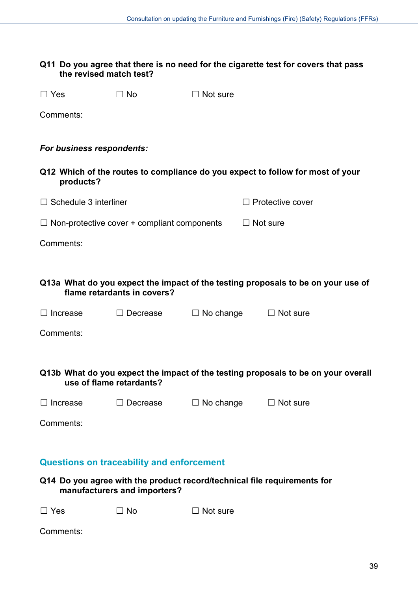#### **Q11 Do you agree that there is no need for the cigarette test for covers that pass the revised match test?**

| $\Box$ Yes | $\Box$ No |
|------------|-----------|
|            |           |

 $\Box$  Not sure

Comments:

#### *For business respondents:*

**Q12 Which of the routes to compliance do you expect to follow for most of your products?** 

| $\Box$ Schedule 3 interliner | $\Box$ Protective cover |
|------------------------------|-------------------------|
|                              |                         |

 $\Box$  Non-protective cover + compliant components  $\Box$  Not sure

Comments:

**Q13a What do you expect the impact of the testing proposals to be on your use of flame retardants in covers?**

☐ Increase ☐ Decrease ☐ No change ☐ Not sure

Comments:

**Q13b What do you expect the impact of the testing proposals to be on your overall use of flame retardants?**

☐ Increase ☐ Decrease ☐ No change ☐ Not sure

Comments:

#### **Questions on traceability and enforcement**

| Q14 Do you agree with the product record/technical file requirements for |
|--------------------------------------------------------------------------|
| manufacturers and importers?                                             |

 $\Box$  Yes  $\Box$  No  $\Box$  Not sure

Comments: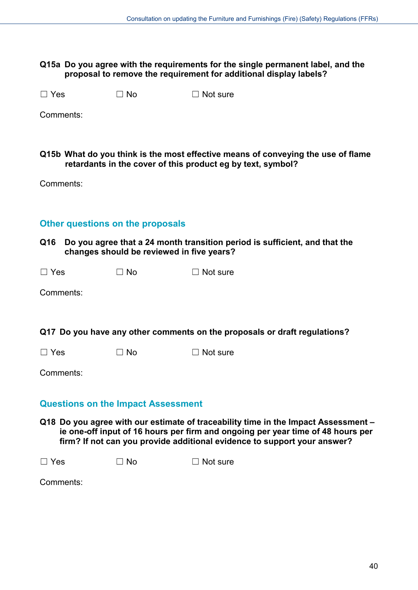#### **Q15a Do you agree with the requirements for the single permanent label, and the proposal to remove the requirement for additional display labels?**

 $\Box$  Yes  $\Box$  No  $\Box$  Not sure

Comments:

**Q15b What do you think is the most effective means of conveying the use of flame retardants in the cover of this product eg by text, symbol?** 

Comments:

## **Other questions on the proposals**

**Q16 Do you agree that a 24 month transition period is sufficient, and that the changes should be reviewed in five years?** 

| $\Box$ Yes | $\Box$ No | $\Box$ Not sure |
|------------|-----------|-----------------|
|            |           |                 |

Comments:

**Q17 Do you have any other comments on the proposals or draft regulations?**

 $\Box$  Yes  $\Box$  No  $\Box$  Not sure

Comments:

#### **Questions on the Impact Assessment**

**Q18 Do you agree with our estimate of traceability time in the Impact Assessment – ie one-off input of 16 hours per firm and ongoing per year time of 48 hours per firm? If not can you provide additional evidence to support your answer?**

 $\Box$  Yes  $\Box$  No  $\Box$  Not sure

Comments: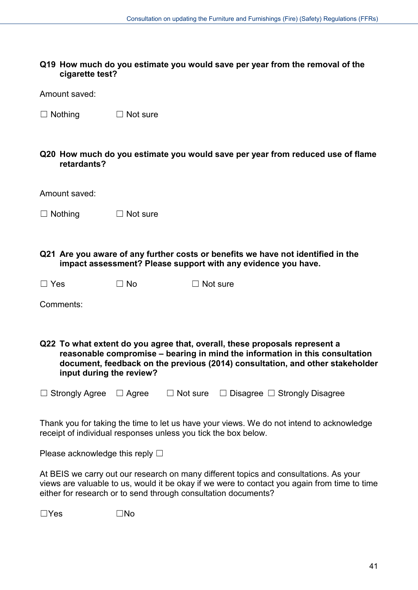#### **Q19 How much do you estimate you would save per year from the removal of the cigarette test?**

Amount saved:

- □ Nothing □ Not sure
- **Q20 How much do you estimate you would save per year from reduced use of flame retardants?**

| Amount saved: |  |
|---------------|--|
|---------------|--|

- $\Box$  Nothing  $\Box$  Not sure
- **Q21 Are you aware of any further costs or benefits we have not identified in the impact assessment? Please support with any evidence you have.**

| $\Box$ Yes<br>$\Box$ No | $\Box$ Not sure |
|-------------------------|-----------------|
|-------------------------|-----------------|

Comments:

**Q22 To what extent do you agree that, overall, these proposals represent a reasonable compromise – bearing in mind the information in this consultation document, feedback on the previous (2014) consultation, and other stakeholder input during the review?**

☐ Strongly Agree ☐ Agree ☐ Not sure ☐ Disagree ☐ Strongly Disagree

Thank you for taking the time to let us have your views. We do not intend to acknowledge receipt of individual responses unless you tick the box below.

Please acknowledge this reply  $\Box$ 

At BEIS we carry out our research on many different topics and consultations. As your views are valuable to us, would it be okay if we were to contact you again from time to time either for research or to send through consultation documents?

☐Yes ☐No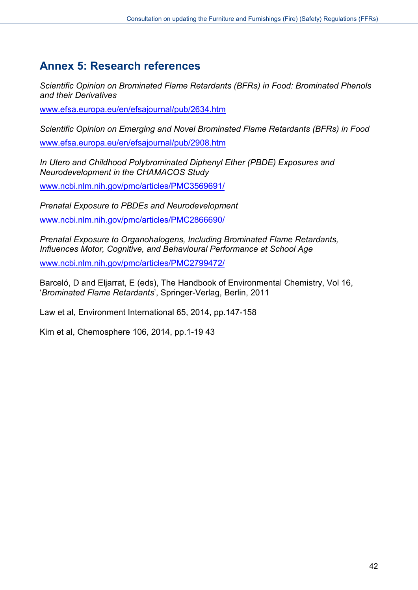# <span id="page-41-0"></span>**Annex 5: Research references**

*Scientific Opinion on Brominated Flame Retardants (BFRs) in Food: Brominated Phenols and their Derivatives*

[www.efsa.europa.eu/en/efsajournal/pub/2634.htm](http://www.efsa.europa.eu/en/efsajournal/pub/2634.htm) 

*Scientific Opinion on Emerging and Novel Brominated Flame Retardants (BFRs) in Food* [www.efsa.europa.eu/en/efsajournal/pub/2908.htm](http://www.efsa.europa.eu/en/efsajournal/pub/2908.htm) 

*In Utero and Childhood Polybrominated Diphenyl Ether (PBDE) Exposures and Neurodevelopment in the CHAMACOS Study*

[www.ncbi.nlm.nih.gov/pmc/articles/PMC3569691/](http://www.ncbi.nlm.nih.gov/pmc/articles/PMC3569691/) 

*Prenatal Exposure to PBDEs and Neurodevelopment* [www.ncbi.nlm.nih.gov/pmc/articles/PMC2866690/](http://www.ncbi.nlm.nih.gov/pmc/articles/PMC2866690/) 

*Prenatal Exposure to Organohalogens, Including Brominated Flame Retardants, Influences Motor, Cognitive, and Behavioural Performance at School Age*

[www.ncbi.nlm.nih.gov/pmc/articles/PMC2799472/](http://www.ncbi.nlm.nih.gov/pmc/articles/PMC2799472/) 

Barceló, D and Eljarrat, E (eds), The Handbook of Environmental Chemistry, Vol 16, '*Brominated Flame Retardants*', Springer-Verlag, Berlin, 2011

Law et al, Environment International 65, 2014, pp.147-158

Kim et al, Chemosphere 106, 2014, pp.1-19 43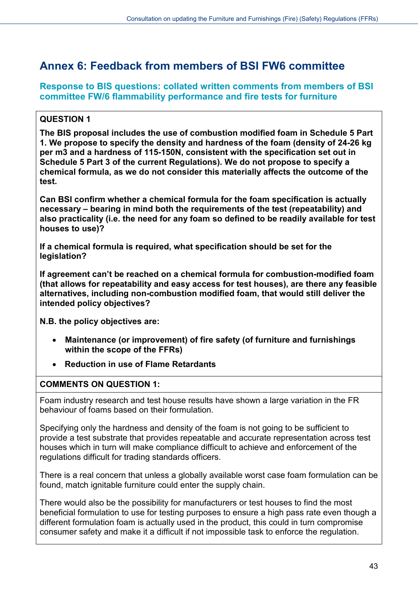# <span id="page-42-0"></span>**Annex 6: Feedback from members of BSI FW6 committee**

**Response to BIS questions: collated written comments from members of BSI committee FW/6 flammability performance and fire tests for furniture** 

# **QUESTION 1**

**The BIS proposal includes the use of combustion modified foam in Schedule 5 Part 1. We propose to specify the density and hardness of the foam (density of 24-26 kg per m3 and a hardness of 115-150N, consistent with the specification set out in Schedule 5 Part 3 of the current Regulations). We do not propose to specify a chemical formula, as we do not consider this materially affects the outcome of the test.** 

**Can BSI confirm whether a chemical formula for the foam specification is actually necessary – bearing in mind both the requirements of the test (repeatability) and also practicality (i.e. the need for any foam so defined to be readily available for test houses to use)?**

**If a chemical formula is required, what specification should be set for the legislation?** 

**If agreement can't be reached on a chemical formula for combustion-modified foam (that allows for repeatability and easy access for test houses), are there any feasible alternatives, including non-combustion modified foam, that would still deliver the intended policy objectives?** 

**N.B. the policy objectives are:** 

- **Maintenance (or improvement) of fire safety (of furniture and furnishings within the scope of the FFRs)**
- **Reduction in use of Flame Retardants**

# **COMMENTS ON QUESTION 1:**

Foam industry research and test house results have shown a large variation in the FR behaviour of foams based on their formulation.

Specifying only the hardness and density of the foam is not going to be sufficient to provide a test substrate that provides repeatable and accurate representation across test houses which in turn will make compliance difficult to achieve and enforcement of the regulations difficult for trading standards officers.

There is a real concern that unless a globally available worst case foam formulation can be found, match ignitable furniture could enter the supply chain.

There would also be the possibility for manufacturers or test houses to find the most beneficial formulation to use for testing purposes to ensure a high pass rate even though a different formulation foam is actually used in the product, this could in turn compromise consumer safety and make it a difficult if not impossible task to enforce the regulation.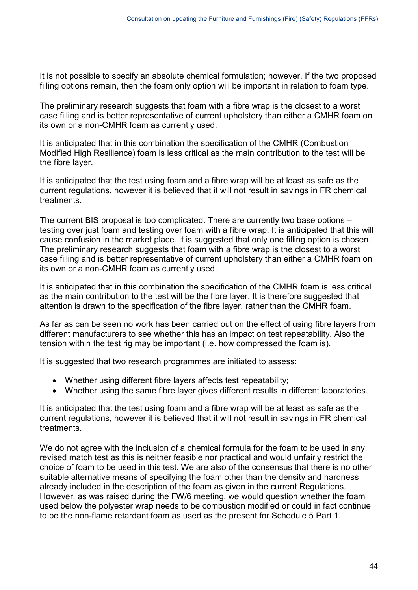It is not possible to specify an absolute chemical formulation; however, If the two proposed filling options remain, then the foam only option will be important in relation to foam type.

The preliminary research suggests that foam with a fibre wrap is the closest to a worst case filling and is better representative of current upholstery than either a CMHR foam on its own or a non-CMHR foam as currently used.

It is anticipated that in this combination the specification of the CMHR (Combustion Modified High Resilience) foam is less critical as the main contribution to the test will be the fibre layer.

It is anticipated that the test using foam and a fibre wrap will be at least as safe as the current regulations, however it is believed that it will not result in savings in FR chemical treatments.

The current BIS proposal is too complicated. There are currently two base options – testing over just foam and testing over foam with a fibre wrap. It is anticipated that this will cause confusion in the market place. It is suggested that only one filling option is chosen. The preliminary research suggests that foam with a fibre wrap is the closest to a worst case filling and is better representative of current upholstery than either a CMHR foam on its own or a non-CMHR foam as currently used.

It is anticipated that in this combination the specification of the CMHR foam is less critical as the main contribution to the test will be the fibre layer. It is therefore suggested that attention is drawn to the specification of the fibre layer, rather than the CMHR foam.

As far as can be seen no work has been carried out on the effect of using fibre layers from different manufacturers to see whether this has an impact on test repeatability. Also the tension within the test rig may be important (i.e. how compressed the foam is).

It is suggested that two research programmes are initiated to assess:

- Whether using different fibre layers affects test repeatability;
- Whether using the same fibre layer gives different results in different laboratories.

It is anticipated that the test using foam and a fibre wrap will be at least as safe as the current regulations, however it is believed that it will not result in savings in FR chemical treatments.

We do not agree with the inclusion of a chemical formula for the foam to be used in any revised match test as this is neither feasible nor practical and would unfairly restrict the choice of foam to be used in this test. We are also of the consensus that there is no other suitable alternative means of specifying the foam other than the density and hardness already included in the description of the foam as given in the current Regulations. However, as was raised during the FW/6 meeting, we would question whether the foam used below the polyester wrap needs to be combustion modified or could in fact continue to be the non-flame retardant foam as used as the present for Schedule 5 Part 1.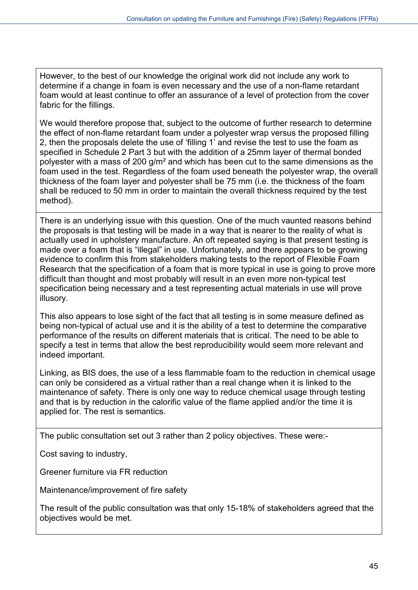However, to the best of our knowledge the original work did not include any work to determine if a change in foam is even necessary and the use of a non-flame retardant foam would at least continue to offer an assurance of a level of protection from the cover fabric for the fillings.

We would therefore propose that, subject to the outcome of further research to determine the effect of non-flame retardant foam under a polyester wrap versus the proposed filling 2, then the proposals delete the use of 'filling 1' and revise the test to use the foam as specified in Schedule 2 Part 3 but with the addition of a 25mm layer of thermal bonded polyester with a mass of 200 g/m² and which has been cut to the same dimensions as the foam used in the test. Regardless of the foam used beneath the polyester wrap, the overall thickness of the foam layer and polyester shall be 75 mm (i.e. the thickness of the foam shall be reduced to 50 mm in order to maintain the overall thickness required by the test method).

There is an underlying issue with this question. One of the much vaunted reasons behind the proposals is that testing will be made in a way that is nearer to the reality of what is actually used in upholstery manufacture. An oft repeated saying is that present testing is made over a foam that is "illegal" in use. Unfortunately, and there appears to be growing evidence to confirm this from stakeholders making tests to the report of Flexible Foam Research that the specification of a foam that is more typical in use is going to prove more difficult than thought and most probably will result in an even more non-typical test specification being necessary and a test representing actual materials in use will prove illusory.

This also appears to lose sight of the fact that all testing is in some measure defined as being non-typical of actual use and it is the ability of a test to determine the comparative performance of the results on different materials that is critical. The need to be able to specify a test in terms that allow the best reproducibility would seem more relevant and indeed important.

Linking, as BIS does, the use of a less flammable foam to the reduction in chemical usage can only be considered as a virtual rather than a real change when it is linked to the maintenance of safety. There is only one way to reduce chemical usage through testing and that is by reduction in the calorific value of the flame applied and/or the time it is applied for. The rest is semantics.

The public consultation set out 3 rather than 2 policy objectives. These were:-

Cost saving to industry,

Greener furniture via FR reduction

Maintenance/improvement of fire safety

The result of the public consultation was that only 15-18% of stakeholders agreed that the objectives would be met.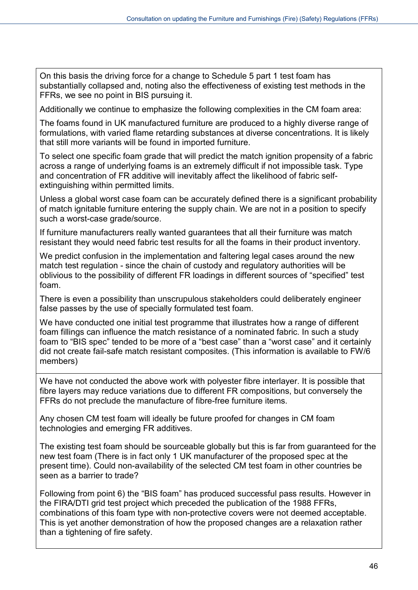On this basis the driving force for a change to Schedule 5 part 1 test foam has substantially collapsed and, noting also the effectiveness of existing test methods in the FFRs, we see no point in BIS pursuing it.

Additionally we continue to emphasize the following complexities in the CM foam area:

The foams found in UK manufactured furniture are produced to a highly diverse range of formulations, with varied flame retarding substances at diverse concentrations. It is likely that still more variants will be found in imported furniture.

To select one specific foam grade that will predict the match ignition propensity of a fabric across a range of underlying foams is an extremely difficult if not impossible task. Type and concentration of FR additive will inevitably affect the likelihood of fabric selfextinguishing within permitted limits.

Unless a global worst case foam can be accurately defined there is a significant probability of match ignitable furniture entering the supply chain. We are not in a position to specify such a worst-case grade/source.

If furniture manufacturers really wanted guarantees that all their furniture was match resistant they would need fabric test results for all the foams in their product inventory.

We predict confusion in the implementation and faltering legal cases around the new match test regulation - since the chain of custody and regulatory authorities will be oblivious to the possibility of different FR loadings in different sources of "specified" test foam.

There is even a possibility than unscrupulous stakeholders could deliberately engineer false passes by the use of specially formulated test foam.

We have conducted one initial test programme that illustrates how a range of different foam fillings can influence the match resistance of a nominated fabric. In such a study foam to "BIS spec" tended to be more of a "best case" than a "worst case" and it certainly did not create fail-safe match resistant composites. (This information is available to FW/6 members)

We have not conducted the above work with polyester fibre interlayer. It is possible that fibre layers may reduce variations due to different FR compositions, but conversely the FFRs do not preclude the manufacture of fibre-free furniture items.

Any chosen CM test foam will ideally be future proofed for changes in CM foam technologies and emerging FR additives.

The existing test foam should be sourceable globally but this is far from guaranteed for the new test foam (There is in fact only 1 UK manufacturer of the proposed spec at the present time). Could non-availability of the selected CM test foam in other countries be seen as a barrier to trade?

Following from point 6) the "BIS foam" has produced successful pass results. However in the FIRA/DTI grid test project which preceded the publication of the 1988 FFRs, combinations of this foam type with non-protective covers were not deemed acceptable. This is yet another demonstration of how the proposed changes are a relaxation rather than a tightening of fire safety.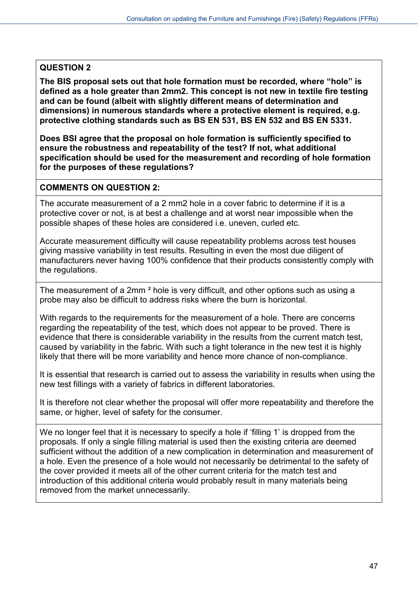# **QUESTION 2**

**The BIS proposal sets out that hole formation must be recorded, where "hole" is defined as a hole greater than 2mm2. This concept is not new in textile fire testing and can be found (albeit with slightly different means of determination and dimensions) in numerous standards where a protective element is required, e.g. protective clothing standards such as BS EN 531, BS EN 532 and BS EN 5331.**

**Does BSI agree that the proposal on hole formation is sufficiently specified to ensure the robustness and repeatability of the test? If not, what additional specification should be used for the measurement and recording of hole formation for the purposes of these regulations?**

#### **COMMENTS ON QUESTION 2:**

The accurate measurement of a 2 mm2 hole in a cover fabric to determine if it is a protective cover or not, is at best a challenge and at worst near impossible when the possible shapes of these holes are considered i.e. uneven, curled etc.

Accurate measurement difficulty will cause repeatability problems across test houses giving massive variability in test results. Resulting in even the most due diligent of manufacturers never having 100% confidence that their products consistently comply with the regulations.

The measurement of a 2mm ² hole is very difficult, and other options such as using a probe may also be difficult to address risks where the burn is horizontal.

With regards to the requirements for the measurement of a hole. There are concerns regarding the repeatability of the test, which does not appear to be proved. There is evidence that there is considerable variability in the results from the current match test, caused by variability in the fabric. With such a tight tolerance in the new test it is highly likely that there will be more variability and hence more chance of non-compliance.

It is essential that research is carried out to assess the variability in results when using the new test fillings with a variety of fabrics in different laboratories.

It is therefore not clear whether the proposal will offer more repeatability and therefore the same, or higher, level of safety for the consumer.

We no longer feel that it is necessary to specify a hole if 'filling 1' is dropped from the proposals. If only a single filling material is used then the existing criteria are deemed sufficient without the addition of a new complication in determination and measurement of a hole. Even the presence of a hole would not necessarily be detrimental to the safety of the cover provided it meets all of the other current criteria for the match test and introduction of this additional criteria would probably result in many materials being removed from the market unnecessarily.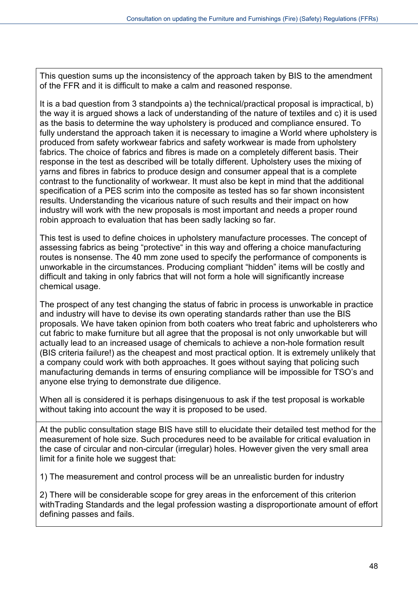This question sums up the inconsistency of the approach taken by BIS to the amendment of the FFR and it is difficult to make a calm and reasoned response.

It is a bad question from 3 standpoints a) the technical/practical proposal is impractical, b) the way it is argued shows a lack of understanding of the nature of textiles and c) it is used as the basis to determine the way upholstery is produced and compliance ensured. To fully understand the approach taken it is necessary to imagine a World where upholstery is produced from safety workwear fabrics and safety workwear is made from upholstery fabrics. The choice of fabrics and fibres is made on a completely different basis. Their response in the test as described will be totally different. Upholstery uses the mixing of yarns and fibres in fabrics to produce design and consumer appeal that is a complete contrast to the functionality of workwear. It must also be kept in mind that the additional specification of a PES scrim into the composite as tested has so far shown inconsistent results. Understanding the vicarious nature of such results and their impact on how industry will work with the new proposals is most important and needs a proper round robin approach to evaluation that has been sadly lacking so far.

This test is used to define choices in upholstery manufacture processes. The concept of assessing fabrics as being "protective" in this way and offering a choice manufacturing routes is nonsense. The 40 mm zone used to specify the performance of components is unworkable in the circumstances. Producing compliant "hidden" items will be costly and difficult and taking in only fabrics that will not form a hole will significantly increase chemical usage.

The prospect of any test changing the status of fabric in process is unworkable in practice and industry will have to devise its own operating standards rather than use the BIS proposals. We have taken opinion from both coaters who treat fabric and upholsterers who cut fabric to make furniture but all agree that the proposal is not only unworkable but will actually lead to an increased usage of chemicals to achieve a non-hole formation result (BIS criteria failure!) as the cheapest and most practical option. It is extremely unlikely that a company could work with both approaches. It goes without saying that policing such manufacturing demands in terms of ensuring compliance will be impossible for TSO's and anyone else trying to demonstrate due diligence.

When all is considered it is perhaps disingenuous to ask if the test proposal is workable without taking into account the way it is proposed to be used.

At the public consultation stage BIS have still to elucidate their detailed test method for the measurement of hole size. Such procedures need to be available for critical evaluation in the case of circular and non-circular (irregular) holes. However given the very small area limit for a finite hole we suggest that:

1) The measurement and control process will be an unrealistic burden for industry

2) There will be considerable scope for grey areas in the enforcement of this criterion withTrading Standards and the legal profession wasting a disproportionate amount of effort defining passes and fails.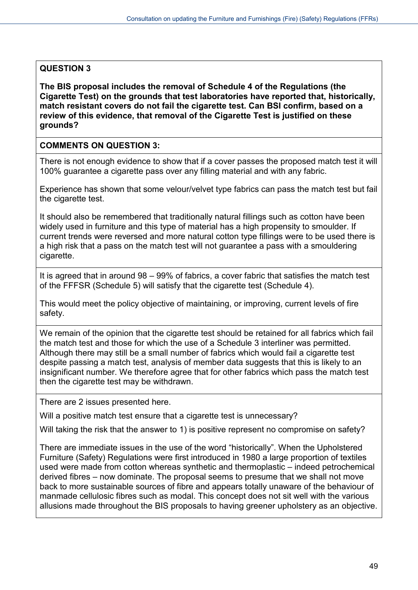# **QUESTION 3**

**The BIS proposal includes the removal of Schedule 4 of the Regulations (the Cigarette Test) on the grounds that test laboratories have reported that, historically, match resistant covers do not fail the cigarette test. Can BSI confirm, based on a review of this evidence, that removal of the Cigarette Test is justified on these grounds?**

#### **COMMENTS ON QUESTION 3:**

There is not enough evidence to show that if a cover passes the proposed match test it will 100% guarantee a cigarette pass over any filling material and with any fabric.

Experience has shown that some velour/velvet type fabrics can pass the match test but fail the cigarette test.

It should also be remembered that traditionally natural fillings such as cotton have been widely used in furniture and this type of material has a high propensity to smoulder. If current trends were reversed and more natural cotton type fillings were to be used there is a high risk that a pass on the match test will not guarantee a pass with a smouldering cigarette.

It is agreed that in around 98 – 99% of fabrics, a cover fabric that satisfies the match test of the FFFSR (Schedule 5) will satisfy that the cigarette test (Schedule 4).

This would meet the policy objective of maintaining, or improving, current levels of fire safety.

We remain of the opinion that the cigarette test should be retained for all fabrics which fail the match test and those for which the use of a Schedule 3 interliner was permitted. Although there may still be a small number of fabrics which would fail a cigarette test despite passing a match test, analysis of member data suggests that this is likely to an insignificant number. We therefore agree that for other fabrics which pass the match test then the cigarette test may be withdrawn.

There are 2 issues presented here.

Will a positive match test ensure that a cigarette test is unnecessary?

Will taking the risk that the answer to 1) is positive represent no compromise on safety?

There are immediate issues in the use of the word "historically". When the Upholstered Furniture (Safety) Regulations were first introduced in 1980 a large proportion of textiles used were made from cotton whereas synthetic and thermoplastic – indeed petrochemical derived fibres – now dominate. The proposal seems to presume that we shall not move back to more sustainable sources of fibre and appears totally unaware of the behaviour of manmade cellulosic fibres such as modal. This concept does not sit well with the various allusions made throughout the BIS proposals to having greener upholstery as an objective.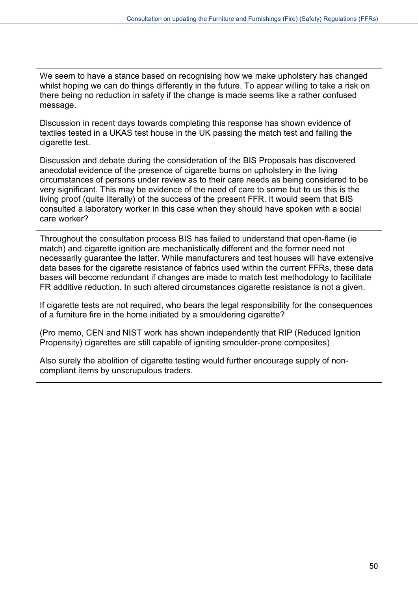We seem to have a stance based on recognising how we make upholstery has changed whilst hoping we can do things differently in the future. To appear willing to take a risk on there being no reduction in safety if the change is made seems like a rather confused message.

Discussion in recent days towards completing this response has shown evidence of textiles tested in a UKAS test house in the UK passing the match test and failing the cigarette test.

Discussion and debate during the consideration of the BIS Proposals has discovered anecdotal evidence of the presence of cigarette burns on upholstery in the living circumstances of persons under review as to their care needs as being considered to be very significant. This may be evidence of the need of care to some but to us this is the living proof (quite literally) of the success of the present FFR. It would seem that BIS consulted a laboratory worker in this case when they should have spoken with a social care worker?

Throughout the consultation process BIS has failed to understand that open-flame (ie match) and cigarette ignition are mechanistically different and the former need not necessarily guarantee the latter. While manufacturers and test houses will have extensive data bases for the cigarette resistance of fabrics used within the current FFRs, these data bases will become redundant if changes are made to match test methodology to facilitate FR additive reduction. In such altered circumstances cigarette resistance is not a given.

If cigarette tests are not required, who bears the legal responsibility for the consequences of a furniture fire in the home initiated by a smouldering cigarette?

(Pro memo, CEN and NIST work has shown independently that RIP (Reduced Ignition Propensity) cigarettes are still capable of igniting smoulder-prone composites)

Also surely the abolition of cigarette testing would further encourage supply of noncompliant items by unscrupulous traders.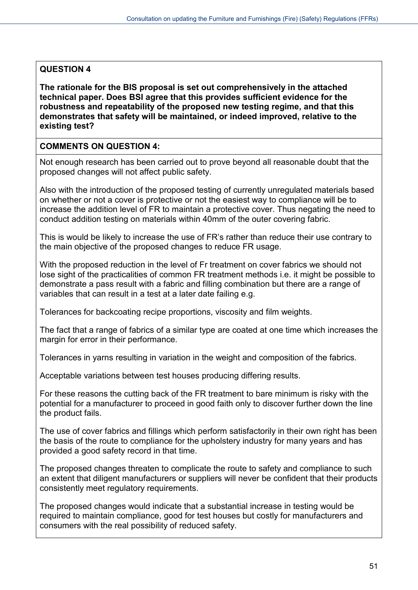# **QUESTION 4**

**The rationale for the BIS proposal is set out comprehensively in the attached technical paper. Does BSI agree that this provides sufficient evidence for the robustness and repeatability of the proposed new testing regime, and that this demonstrates that safety will be maintained, or indeed improved, relative to the existing test?**

# **COMMENTS ON QUESTION 4:**

Not enough research has been carried out to prove beyond all reasonable doubt that the proposed changes will not affect public safety.

Also with the introduction of the proposed testing of currently unregulated materials based on whether or not a cover is protective or not the easiest way to compliance will be to increase the addition level of FR to maintain a protective cover. Thus negating the need to conduct addition testing on materials within 40mm of the outer covering fabric.

This is would be likely to increase the use of FR's rather than reduce their use contrary to the main objective of the proposed changes to reduce FR usage.

With the proposed reduction in the level of Fr treatment on cover fabrics we should not lose sight of the practicalities of common FR treatment methods i.e. it might be possible to demonstrate a pass result with a fabric and filling combination but there are a range of variables that can result in a test at a later date failing e.g.

Tolerances for backcoating recipe proportions, viscosity and film weights.

The fact that a range of fabrics of a similar type are coated at one time which increases the margin for error in their performance.

Tolerances in yarns resulting in variation in the weight and composition of the fabrics.

Acceptable variations between test houses producing differing results.

For these reasons the cutting back of the FR treatment to bare minimum is risky with the potential for a manufacturer to proceed in good faith only to discover further down the line the product fails.

The use of cover fabrics and fillings which perform satisfactorily in their own right has been the basis of the route to compliance for the upholstery industry for many years and has provided a good safety record in that time.

The proposed changes threaten to complicate the route to safety and compliance to such an extent that diligent manufacturers or suppliers will never be confident that their products consistently meet regulatory requirements.

The proposed changes would indicate that a substantial increase in testing would be required to maintain compliance, good for test houses but costly for manufacturers and consumers with the real possibility of reduced safety.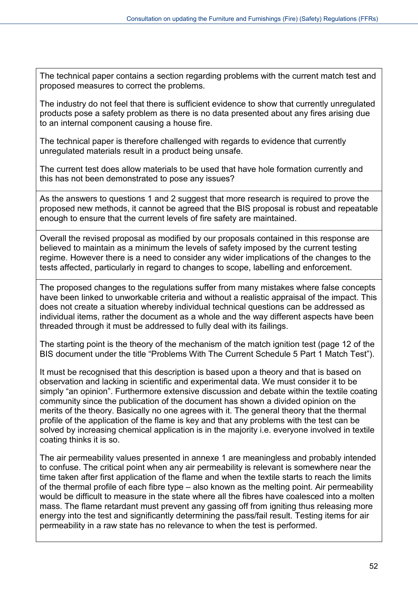The technical paper contains a section regarding problems with the current match test and proposed measures to correct the problems.

The industry do not feel that there is sufficient evidence to show that currently unregulated products pose a safety problem as there is no data presented about any fires arising due to an internal component causing a house fire.

The technical paper is therefore challenged with regards to evidence that currently unregulated materials result in a product being unsafe.

The current test does allow materials to be used that have hole formation currently and this has not been demonstrated to pose any issues?

As the answers to questions 1 and 2 suggest that more research is required to prove the proposed new methods, it cannot be agreed that the BIS proposal is robust and repeatable enough to ensure that the current levels of fire safety are maintained.

Overall the revised proposal as modified by our proposals contained in this response are believed to maintain as a minimum the levels of safety imposed by the current testing regime. However there is a need to consider any wider implications of the changes to the tests affected, particularly in regard to changes to scope, labelling and enforcement.

The proposed changes to the regulations suffer from many mistakes where false concepts have been linked to unworkable criteria and without a realistic appraisal of the impact. This does not create a situation whereby individual technical questions can be addressed as individual items, rather the document as a whole and the way different aspects have been threaded through it must be addressed to fully deal with its failings.

The starting point is the theory of the mechanism of the match ignition test (page 12 of the BIS document under the title "Problems With The Current Schedule 5 Part 1 Match Test").

It must be recognised that this description is based upon a theory and that is based on observation and lacking in scientific and experimental data. We must consider it to be simply "an opinion". Furthermore extensive discussion and debate within the textile coating community since the publication of the document has shown a divided opinion on the merits of the theory. Basically no one agrees with it. The general theory that the thermal profile of the application of the flame is key and that any problems with the test can be solved by increasing chemical application is in the majority i.e. everyone involved in textile coating thinks it is so.

The air permeability values presented in annexe 1 are meaningless and probably intended to confuse. The critical point when any air permeability is relevant is somewhere near the time taken after first application of the flame and when the textile starts to reach the limits of the thermal profile of each fibre type – also known as the melting point. Air permeability would be difficult to measure in the state where all the fibres have coalesced into a molten mass. The flame retardant must prevent any gassing off from igniting thus releasing more energy into the test and significantly determining the pass/fail result. Testing items for air permeability in a raw state has no relevance to when the test is performed.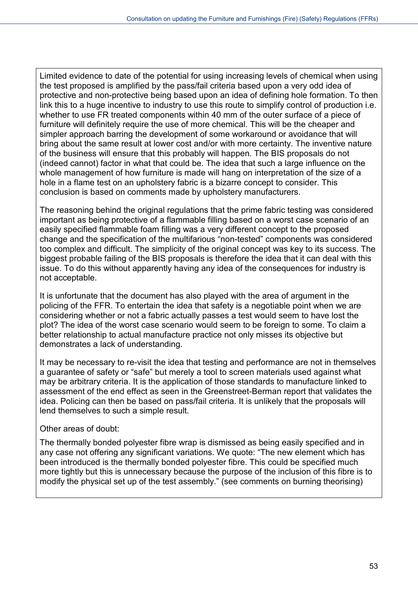Limited evidence to date of the potential for using increasing levels of chemical when using the test proposed is amplified by the pass/fail criteria based upon a very odd idea of protective and non-protective being based upon an idea of defining hole formation. To then link this to a huge incentive to industry to use this route to simplify control of production i.e. whether to use FR treated components within 40 mm of the outer surface of a piece of furniture will definitely require the use of more chemical. This will be the cheaper and simpler approach barring the development of some workaround or avoidance that will bring about the same result at lower cost and/or with more certainty. The inventive nature of the business will ensure that this probably will happen. The BIS proposals do not (indeed cannot) factor in what that could be. The idea that such a large influence on the whole management of how furniture is made will hang on interpretation of the size of a hole in a flame test on an upholstery fabric is a bizarre concept to consider. This conclusion is based on comments made by upholstery manufacturers.

The reasoning behind the original regulations that the prime fabric testing was considered important as being protective of a flammable filling based on a worst case scenario of an easily specified flammable foam filling was a very different concept to the proposed change and the specification of the multifarious "non-tested" components was considered too complex and difficult. The simplicity of the original concept was key to its success. The biggest probable failing of the BIS proposals is therefore the idea that it can deal with this issue. To do this without apparently having any idea of the consequences for industry is not acceptable.

It is unfortunate that the document has also played with the area of argument in the policing of the FFR. To entertain the idea that safety is a negotiable point when we are considering whether or not a fabric actually passes a test would seem to have lost the plot? The idea of the worst case scenario would seem to be foreign to some. To claim a better relationship to actual manufacture practice not only misses its objective but demonstrates a lack of understanding.

It may be necessary to re-visit the idea that testing and performance are not in themselves a guarantee of safety or "safe" but merely a tool to screen materials used against what may be arbitrary criteria. It is the application of those standards to manufacture linked to assessment of the end effect as seen in the Greenstreet-Berman report that validates the idea. Policing can then be based on pass/fail criteria. It is unlikely that the proposals will lend themselves to such a simple result.

# Other areas of doubt:

The thermally bonded polyester fibre wrap is dismissed as being easily specified and in any case not offering any significant variations. We quote: "The new element which has been introduced is the thermally bonded polyester fibre. This could be specified much more tightly but this is unnecessary because the purpose of the inclusion of this fibre is to modify the physical set up of the test assembly." (see comments on burning theorising)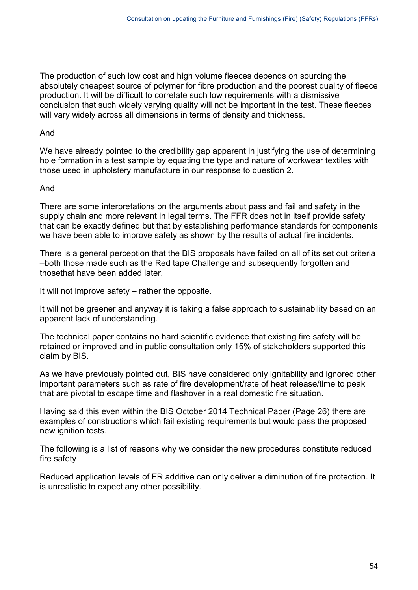The production of such low cost and high volume fleeces depends on sourcing the absolutely cheapest source of polymer for fibre production and the poorest quality of fleece production. It will be difficult to correlate such low requirements with a dismissive conclusion that such widely varying quality will not be important in the test. These fleeces will vary widely across all dimensions in terms of density and thickness.

#### And

We have already pointed to the credibility gap apparent in justifying the use of determining hole formation in a test sample by equating the type and nature of workwear textiles with those used in upholstery manufacture in our response to question 2.

# And

There are some interpretations on the arguments about pass and fail and safety in the supply chain and more relevant in legal terms. The FFR does not in itself provide safety that can be exactly defined but that by establishing performance standards for components we have been able to improve safety as shown by the results of actual fire incidents.

There is a general perception that the BIS proposals have failed on all of its set out criteria –both those made such as the Red tape Challenge and subsequently forgotten and thosethat have been added later.

It will not improve safety – rather the opposite.

It will not be greener and anyway it is taking a false approach to sustainability based on an apparent lack of understanding.

The technical paper contains no hard scientific evidence that existing fire safety will be retained or improved and in public consultation only 15% of stakeholders supported this claim by BIS.

As we have previously pointed out, BIS have considered only ignitability and ignored other important parameters such as rate of fire development/rate of heat release/time to peak that are pivotal to escape time and flashover in a real domestic fire situation.

Having said this even within the BIS October 2014 Technical Paper (Page 26) there are examples of constructions which fail existing requirements but would pass the proposed new ignition tests.

The following is a list of reasons why we consider the new procedures constitute reduced fire safety

Reduced application levels of FR additive can only deliver a diminution of fire protection. It is unrealistic to expect any other possibility.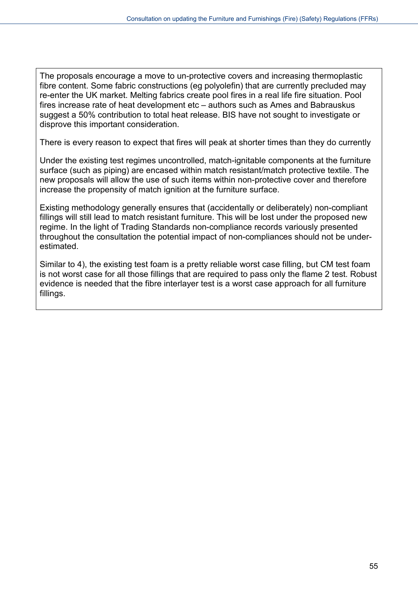The proposals encourage a move to un-protective covers and increasing thermoplastic fibre content. Some fabric constructions (eg polyolefin) that are currently precluded may re-enter the UK market. Melting fabrics create pool fires in a real life fire situation. Pool fires increase rate of heat development etc – authors such as Ames and Babrauskus suggest a 50% contribution to total heat release. BIS have not sought to investigate or disprove this important consideration.

There is every reason to expect that fires will peak at shorter times than they do currently

Under the existing test regimes uncontrolled, match-ignitable components at the furniture surface (such as piping) are encased within match resistant/match protective textile. The new proposals will allow the use of such items within non-protective cover and therefore increase the propensity of match ignition at the furniture surface.

Existing methodology generally ensures that (accidentally or deliberately) non-compliant fillings will still lead to match resistant furniture. This will be lost under the proposed new regime. In the light of Trading Standards non-compliance records variously presented throughout the consultation the potential impact of non-compliances should not be underestimated.

Similar to 4), the existing test foam is a pretty reliable worst case filling, but CM test foam is not worst case for all those fillings that are required to pass only the flame 2 test. Robust evidence is needed that the fibre interlayer test is a worst case approach for all furniture fillings.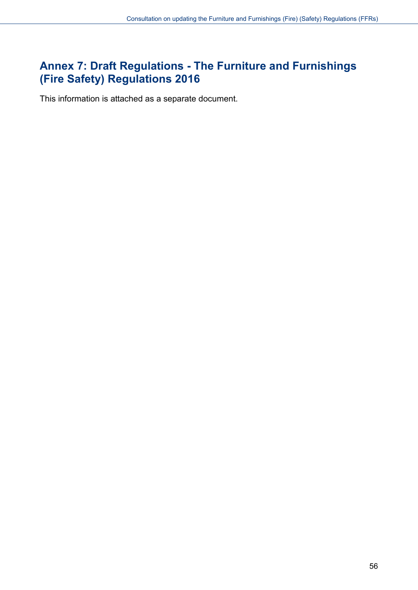# <span id="page-55-0"></span>**Annex 7: Draft Regulations - The Furniture and Furnishings (Fire Safety) Regulations 2016**

This information is attached as a separate document.